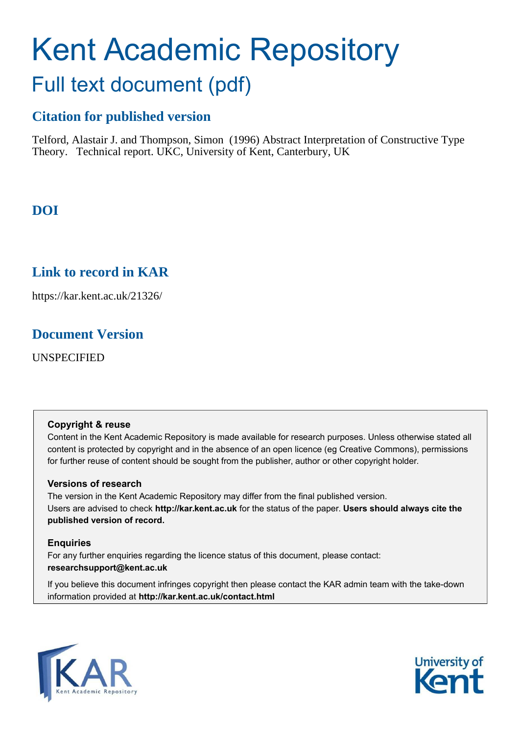# Kent Academic Repository Full text document (pdf)

# **Citation for published version**

Telford, Alastair J. and Thompson, Simon (1996) Abstract Interpretation of Constructive Type Theory. Technical report. UKC, University of Kent, Canterbury, UK

# **DOI**

# **Link to record in KAR**

https://kar.kent.ac.uk/21326/

# **Document Version**

UNSPECIFIED

### **Copyright & reuse**

Content in the Kent Academic Repository is made available for research purposes. Unless otherwise stated all content is protected by copyright and in the absence of an open licence (eg Creative Commons), permissions for further reuse of content should be sought from the publisher, author or other copyright holder.

### **Versions of research**

The version in the Kent Academic Repository may differ from the final published version. Users are advised to check **http://kar.kent.ac.uk** for the status of the paper. **Users should always cite the published version of record.**

### **Enquiries**

For any further enquiries regarding the licence status of this document, please contact: **researchsupport@kent.ac.uk**

If you believe this document infringes copyright then please contact the KAR admin team with the take-down information provided at **http://kar.kent.ac.uk/contact.html**



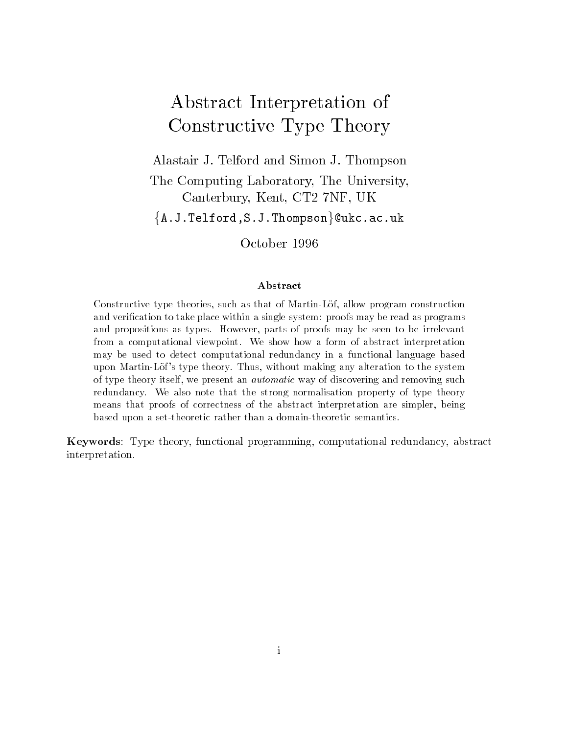# Abstract Interpretation of Constructive Type Theory

Alastair J- Telford and Simon J- Thompson The Computing Laboratory, The University, Canterbury, Kent, CT2 7NF, UK  $\mathtt{\{}A.J.Telford,S.J.Thompson\}@ukc.ac.uk$ 

#### Abstract

constructive type throughout and the construction and the martingly allowed the construction of the constructio and verication to take place with a single system with a single system of the read as provided with the read a and propositions as the seen to be interested to be seen to be interested to be a second to be in from a computational iteration is a form of abstract interpretational and abstract interpretational abstracts may be used to detect computational redundance and the function of interesting and functional reductional langu upon may alteration with the system of the system and thus thus the system of the system of the system of the of albo annot change its brown wat wwashaaaa it alboo chine when removing a way reduction also that the strong the strong normalisation property of the strong normalisation property of the s means that the correct of correction of the abstract interpretation are simplerbased upon a set-theoretic rather than a domain-theoretic semantics.

abstractional programming-theory-organisms-computational programming-computational programming-computational p interpretation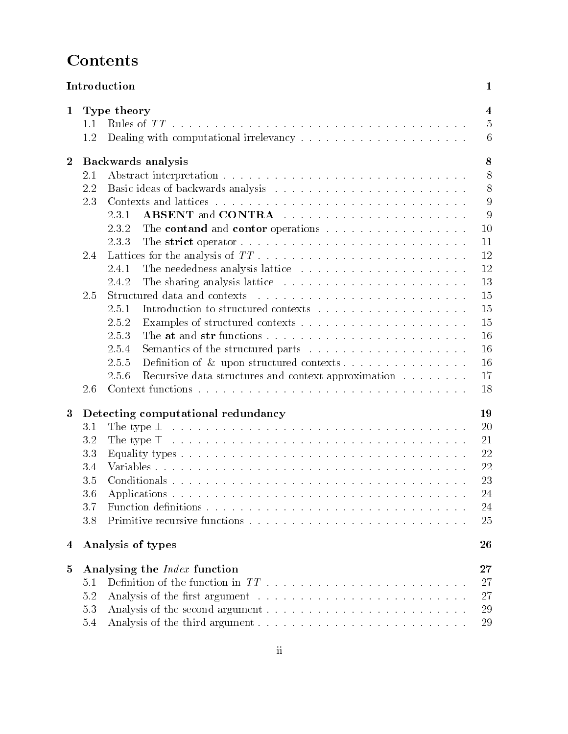# **Contents**

|                  |            | Introduction                                                                                                                                                                                                                  | $\mathbf 1$    |  |  |  |  |  |  |  |  |  |
|------------------|------------|-------------------------------------------------------------------------------------------------------------------------------------------------------------------------------------------------------------------------------|----------------|--|--|--|--|--|--|--|--|--|
| $\mathbf{1}$     |            | $\overline{4}$<br>Type theory                                                                                                                                                                                                 |                |  |  |  |  |  |  |  |  |  |
|                  | 1.1        |                                                                                                                                                                                                                               | $\overline{5}$ |  |  |  |  |  |  |  |  |  |
|                  | 1.2        |                                                                                                                                                                                                                               | 6              |  |  |  |  |  |  |  |  |  |
| $\boldsymbol{2}$ |            | 8<br>Backwards analysis                                                                                                                                                                                                       |                |  |  |  |  |  |  |  |  |  |
|                  | 2.1        |                                                                                                                                                                                                                               | 8              |  |  |  |  |  |  |  |  |  |
|                  | 2.2        |                                                                                                                                                                                                                               | 8              |  |  |  |  |  |  |  |  |  |
|                  | 2.3        |                                                                                                                                                                                                                               |                |  |  |  |  |  |  |  |  |  |
|                  |            | 2.3.1                                                                                                                                                                                                                         | 9              |  |  |  |  |  |  |  |  |  |
|                  |            | The contand and contor operations<br>2.3.2                                                                                                                                                                                    | 10             |  |  |  |  |  |  |  |  |  |
|                  |            | 2.3.3                                                                                                                                                                                                                         | 11             |  |  |  |  |  |  |  |  |  |
|                  | 2.4        |                                                                                                                                                                                                                               | 12             |  |  |  |  |  |  |  |  |  |
|                  |            | 2.4.1                                                                                                                                                                                                                         | 12             |  |  |  |  |  |  |  |  |  |
|                  |            | 2.4.2                                                                                                                                                                                                                         | 13             |  |  |  |  |  |  |  |  |  |
|                  | 2.5        | Structured data and contexts responses in the set of the set of the set of the set of the set of the set of the set of the set of the set of the set of the set of the set of the set of the set of the set of the set of the | 15             |  |  |  |  |  |  |  |  |  |
|                  |            | 2.5.1                                                                                                                                                                                                                         | 15             |  |  |  |  |  |  |  |  |  |
|                  |            | 2.5.2                                                                                                                                                                                                                         | 15             |  |  |  |  |  |  |  |  |  |
|                  |            | 2.5.3                                                                                                                                                                                                                         | 16             |  |  |  |  |  |  |  |  |  |
|                  |            | 2.5.4                                                                                                                                                                                                                         | 16             |  |  |  |  |  |  |  |  |  |
|                  |            | 2.5.5                                                                                                                                                                                                                         | 16             |  |  |  |  |  |  |  |  |  |
|                  |            | 2.5.6<br>Recursive data structures and context approximation                                                                                                                                                                  | 17             |  |  |  |  |  |  |  |  |  |
|                  | 2.6        |                                                                                                                                                                                                                               | 18             |  |  |  |  |  |  |  |  |  |
| $\boldsymbol{3}$ |            | Detecting computational redundancy                                                                                                                                                                                            | 19             |  |  |  |  |  |  |  |  |  |
|                  | 3.1        |                                                                                                                                                                                                                               |                |  |  |  |  |  |  |  |  |  |
|                  | 3.2        |                                                                                                                                                                                                                               |                |  |  |  |  |  |  |  |  |  |
|                  | 3.3        |                                                                                                                                                                                                                               |                |  |  |  |  |  |  |  |  |  |
|                  | 3.4        | 22<br>22                                                                                                                                                                                                                      |                |  |  |  |  |  |  |  |  |  |
|                  | 3.5        |                                                                                                                                                                                                                               |                |  |  |  |  |  |  |  |  |  |
|                  | 3.6        |                                                                                                                                                                                                                               |                |  |  |  |  |  |  |  |  |  |
|                  | 3.7        |                                                                                                                                                                                                                               | 24<br>24       |  |  |  |  |  |  |  |  |  |
|                  | 3.8        |                                                                                                                                                                                                                               | 25             |  |  |  |  |  |  |  |  |  |
| 4                |            | Analysis of types                                                                                                                                                                                                             | 26             |  |  |  |  |  |  |  |  |  |
| $\mathbf{5}$     |            | Analysing the <i>Index</i> function                                                                                                                                                                                           | $27\,$         |  |  |  |  |  |  |  |  |  |
|                  | 5.1        |                                                                                                                                                                                                                               |                |  |  |  |  |  |  |  |  |  |
|                  |            |                                                                                                                                                                                                                               | 27             |  |  |  |  |  |  |  |  |  |
|                  |            |                                                                                                                                                                                                                               |                |  |  |  |  |  |  |  |  |  |
|                  | 5.2<br>5.3 |                                                                                                                                                                                                                               | 27<br>29       |  |  |  |  |  |  |  |  |  |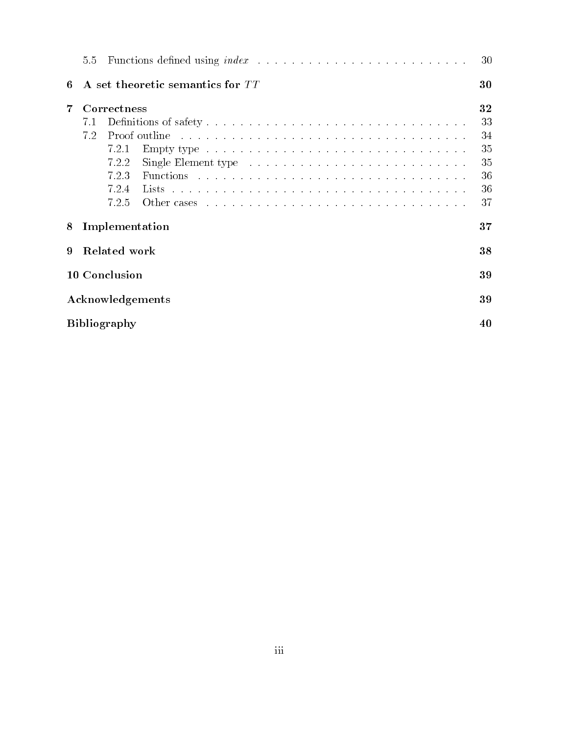|                     | 5.5                                    |                | Functions defined using $index \dots \dots \dots \dots \dots \dots \dots \dots \dots$                                                                                                                                          | 30 |  |  |  |  |  |  |
|---------------------|----------------------------------------|----------------|--------------------------------------------------------------------------------------------------------------------------------------------------------------------------------------------------------------------------------|----|--|--|--|--|--|--|
| 6                   | A set theoretic semantics for TT<br>30 |                |                                                                                                                                                                                                                                |    |  |  |  |  |  |  |
| 7                   |                                        | Correctness    |                                                                                                                                                                                                                                | 32 |  |  |  |  |  |  |
|                     | 7.1                                    |                |                                                                                                                                                                                                                                | 33 |  |  |  |  |  |  |
|                     | 7.2                                    |                | Proof outline enterprise in the server is a server of the proof outline in the server in the server of the server of the server of the server of the server of the server of the server of the server of the server of the ser | 34 |  |  |  |  |  |  |
|                     |                                        | 7.2.1          | Empty type                                                                                                                                                                                                                     | 35 |  |  |  |  |  |  |
|                     |                                        | 7.2.2          | Single Element type $\ldots \ldots \ldots \ldots \ldots \ldots \ldots \ldots \ldots$                                                                                                                                           | 35 |  |  |  |  |  |  |
|                     |                                        | 7.2.3          |                                                                                                                                                                                                                                | 36 |  |  |  |  |  |  |
|                     |                                        | 7.2.4          |                                                                                                                                                                                                                                | 36 |  |  |  |  |  |  |
|                     |                                        | 7.2.5          |                                                                                                                                                                                                                                | 37 |  |  |  |  |  |  |
| 8                   |                                        | Implementation |                                                                                                                                                                                                                                | 37 |  |  |  |  |  |  |
| 9                   | Related work                           |                |                                                                                                                                                                                                                                |    |  |  |  |  |  |  |
| 10 Conclusion       |                                        |                |                                                                                                                                                                                                                                |    |  |  |  |  |  |  |
| Acknowledgements    |                                        |                |                                                                                                                                                                                                                                |    |  |  |  |  |  |  |
| <b>Bibliography</b> |                                        |                |                                                                                                                                                                                                                                |    |  |  |  |  |  |  |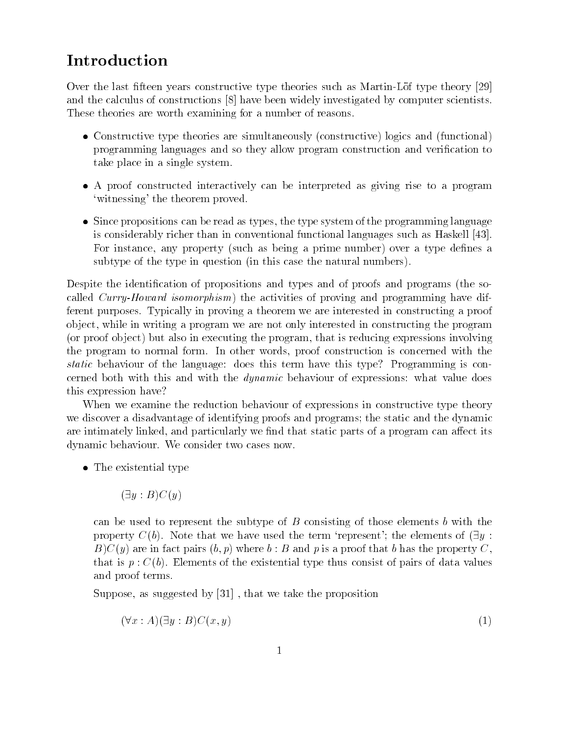# Introduction

Over the last fteen years constructive type theories such as MartinLof type theory and the calculus of constructions  $\lceil 8 \rceil$  have been widely investigated by computer scientists. These theories are worth examining for a number of reasons

- Constructive type theories are simultaneously (constructive) logics and (functional) programming languages and so they allow program construction and veri
cation to take place in a single system
- A proof constructed interactively can be interpreted as giving rise to a program 'witnessing' the theorem proved.
- Since propositions can be read as types- the type system of the programming language is considerably richer than in conventional functional languages such as Haskell  For instance- any property such as being a prime number over a type de
nes a subtype of the type in question (in this case the natural numbers).

Despite the identification of propositions and types and of proofs and programs (the socalled Curry-Howard isomorphism the activities of proving and programming have dif ferent purposes Typically in proving a theorem we are interested in constructing a proof ob ject-, while in writing a program we are not only interested in constructing the program , the proof of ject, which in executing the program- that is reducing expressions involving the problem to normal form In other with  $\mathbf{r}$  or  $\mathbf{r}$  and  $\mathbf{r}$  and  $\mathbf{r}$  and  $\mathbf{r}$ static behaviour of the language: does this term have this type? Programming is concerned both with this and with the *dynamic* behaviour of expressions: what value does this expression have

When we examine the reduction behaviour of expressions in constructive type theory we discover a disadvantage of identifying proofs and programs; the static and the dynamic are interesting linked-static particularly we have a program can also be a program can also be a program can a dynamic behaviour. We consider two cases now.

• The existential type

 $(\exists y : B) C(y)$ 

can be used to represent the subtype of  $B$  consisting of those elements b with the property  $C(b)$ . Note that we have used the term 'represent'; the elements of  $(\exists y :$ BCy are in fact pairs b- p where b B and p is a proof that b has the property Cthat is  $p : C(b)$ . Elements of the existential type thus consist of pairs of data values and proof terms

 $\sim$  supposes that we take the proposition of  $\sim$  . The proposition of the proposition of  $\sim$ 

$$
(\forall x:A)(\exists y:B)C(x,y) \tag{1}
$$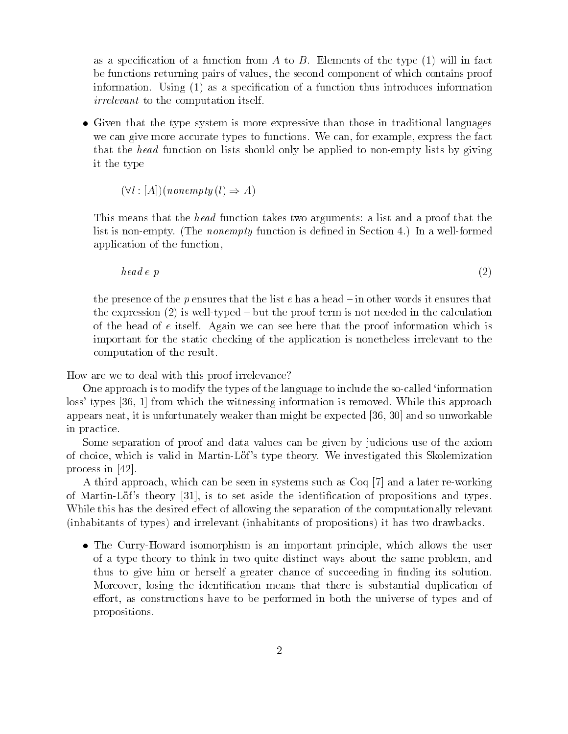as a specification of a function from A to B. Elements of the type  $(1)$  will in fact be functions returning pairs of values- the second component of which contains proof information. Using  $(1)$  as a specification of a function thus introduces information *irrelevant* to the computation itself.

 Given that the type system is more expressive than those in traditional languages we can give more accurate types to functions we can experience the fact in the fact of the fact of the fact of that the head function on lists should only be applied to nonempty lists by giving it the type

 $(\forall l : [A])(\text{nonempty}(l) \Rightarrow A)$ 

This means that the *head* function takes two arguments: a list and a proof that the list is non-empty. (The *nonempty* function is defined in Section 4.) In a well-formed application of the function,

$$
head\ e\ p\tag{2}
$$

the presence of the p ensures that the list  $e$  has a head  $-\text{in}$  other words it ensures that the expression  $(2)$  is well-typed  $-$  but the proof term is not needed in the calculation of the head of  $e$  itself. Again we can see here that the proof information which is important for the static checking of the application is nonetheless irrelevant to the computation of the result

How are we to deal with this proof irrelevance

One approach is to modify the types of the language to include the socalled information loss types  $\sim$  the witness the witness information  $\sim$  removed which is removed which the witness appears neat-than might be expected in the expected of the expected of the expected of the expected of the expected  $\mathcal{A}$ in practice

Some separation of proof and data values can be given by judicious use of the axiom of choice- which is valid in MartinLof s type theory We investigated this Skolemization process in [42].

a the system approaches the system in system in systems such as Coq and and a later reworking of MartinLof s theory - is to set aside the identi
cation of propositions and types While this has the desired effect of allowing the separation of the computationally relevant (inhabitants of types) and irrelevant (inhabitants of propositions) it has two drawbacks.

The Curry Howard is an important principle in the important principle-state is an important principle in the u of a type theory to think in two quite distinct ways about the same problem- and thus to give him or herself a greater chance of succeeding in finding its solution. Moreover- losing the identi
cation means that there is substantial duplication of eort- as constructions have to be performed in both the universe of types and of propositions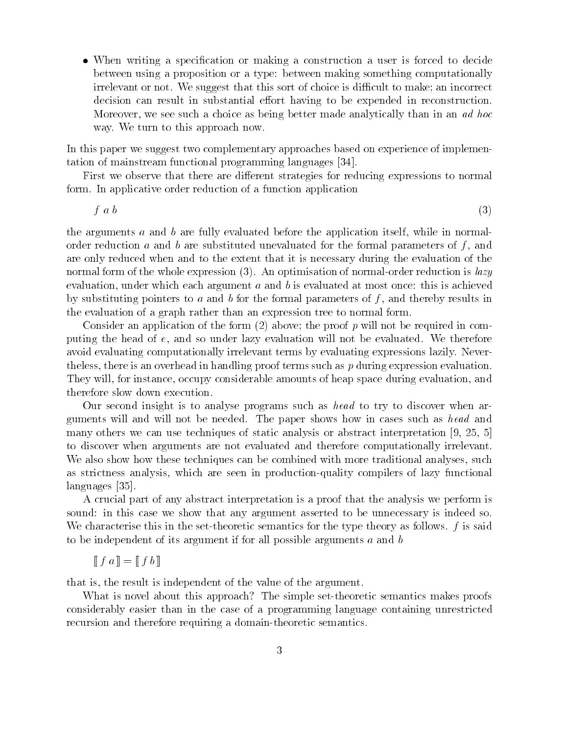• When writing a specification or making a construction a user is forced to decide between using a proposition or a type: between making something computationally irrelevant or not. We suggest that this sort of choice is difficult to make; an incorrect decision can result in substantial effort having to be expended in reconstruction. Moreover- we see suchachoice as being better made analytically than in an ad hoc way. We turn to this approach now.

In this paper we suggest two complementary approaches based on experience of implemen tation of mainstream functional programming languages 

First we observe that there are different strategies for reducing expressions to normal form. In applicative order reduction of a function application

f above a series of the contract of the contract of the contract of the contract of the contract of the contract of the contract of the contract of the contract of the contract of the contract of the contract of the contra

the arguments <sup>a</sup> and <sup>b</sup> are fully evaluated before the application itself- while in normal order reduction <sup>a</sup> and <sup>b</sup> are substituted unevaluated for the formal parameters of <sup>f</sup> - and are only reduced when and to the extent that it is necessary during the evaluation of the normal form of the whole expression  $(3)$ . An optimisation of normal-order reduction is *lazy* evaluation- which argument argument and b is evaluated at most once the most of the most once the most once th by substituting pointers to <sup>a</sup> and <sup>b</sup> for the formal parameters of <sup>f</sup> - and thereby results in the evaluation of a graph rather than an expression tree to normal form

Consider an application of the form  $(2)$  above; the proof p will not be required in computing the media of the sound will not be evaluated with the society will not be evaluated with the experiment avoid evaluating computationally irrelevant terms by evaluating expressions lazily Never the less-disperse is an overhead in handling proof terms such as  $p$  during expression evaluation They will- for instance- occupy considerable amounts of heap space during evaluation- and therefore slow down execution

Our second insight is to analyse programs such as head to try to discover when ar guments will and will not be needed. The paper shows how in cases such as head and many others we can use techniques of static analysis or abstract interpretation - to discover when arguments are not evaluated and therefore computationally irrelevant we also show the second techniques can be computed with more traditional and more traditional analysesas strictless analysis-different induction, are seen in production of lazy function, and lazy functional experimental experimental experimental experimental experimental experimental experimental experimental experimental languages [35].

A crucial part of any abstract interpretation is a proof that the analysis we perform is sound: in this case we show that any argument asserted to be unnecessary is indeed so. We characterise this in the set-theoretic semantics for the type theory as follows.  $f$  is said to be independent of its argument if for all possible arguments  $a$  and  $b$ 

$$
\llbracket f a \rrbracket = \llbracket f b \rrbracket
$$

that is in the result is independent of the value of the value  $\alpha$ 

What is novel about this approach? The simple set-theoretic semantics makes proofs considerably easier than in the case of a programming language containing unrestricted recursion and therefore requiring a domain-theoretic semantics.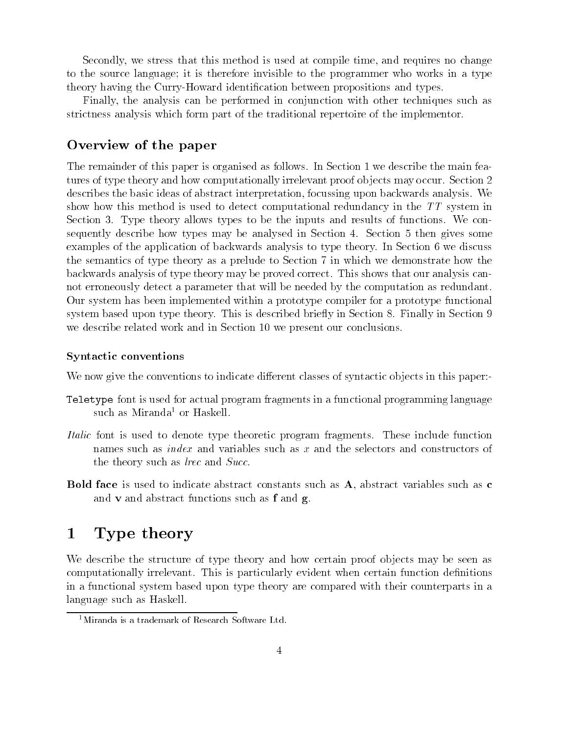we stress the time-venture telestic at the stress that the computer of the computer time-venture time-venture o to the source extra general it is the source in the programmer who was programmer who would be a type to theory having the Curry Howard the Curry House of the Curry Curry of Curry Curry and the Curry Curry of the Cu

a the analysis can be performed in contract the analysis with other techniques as a conjunction of the conjunction of the conjunction of the conjunction of the conjunction of the conjunction of the conjunction of the conju striction and the tradition of the traditional part of the traditional repeats of the traditional repeats of t

### Overview of the paper

The remainder of this paper is organised as follows In Section we describe the main fea ture of the theory and how computer of the property interesting in the section of the section of the section  $\blacksquare$ describes the basic ideas of abstract interpretation- focussing upon backwards analysis We show it was it shows method in this method in the detect computational redundance in the TT system in the TT s Section Type theory allows types to be the inputs and results of functions We con sederation and the section of the many and analysed in Section and Section and Access Analyse March and the so examples of the application of backwards of backwards and backwards and the type theory Indian Section Order o the semantics of the theory as a prelude to Necessary in which we demonstrate the semantics of the demonstrate backwards analysis of type theory may be proved correct This shows that our analysis can not erroneously detect a parameter that will be needed by the computation as redundant $\alpha$  our system masses in pleme members with a prototype computer  $\alpha$  prototype functional  $\alpha$  is a prototype functional members of  $\alpha$ system based upon type theory This is described briey in Section Finally in Section we describe relative related work as the description of the section of the section of the conclusions of the c

#### Syntactic conventions

We now give the conventions to indicate different classes of syntactic objects in this paper:

- Teletype font is used for actual program fragments in a functional programming language such as Miranda<sup>-</sup> or Haskell.
- Italic font is used to denote type theoretic program fragments. These include function assessed a divas var virus such as indexertions and the selectors and constructors and computers and construct the theory such as large as large as large and Successive and Successive and Successive and Successive and Successive and Successive and Successive and Successive and Successive and Successive and Successive and Successive
- abstract face is used to indicate abstract constants such as a such as a such as a constant indicate such as c and vs. The abstract functions such as follows to a find a form of a find  $\mathbf{q}$

#### $\mathbf 1$ Type theory

We describe the structure of type theory and how certain proof ob jects may be seen as computational interval in the computation of properties, clearly interval consequent and computer of computations in a functional system based upon type theory are compared with their counterparts in a language such as Haskell

Miranda is a trademark of Research Software Ltd-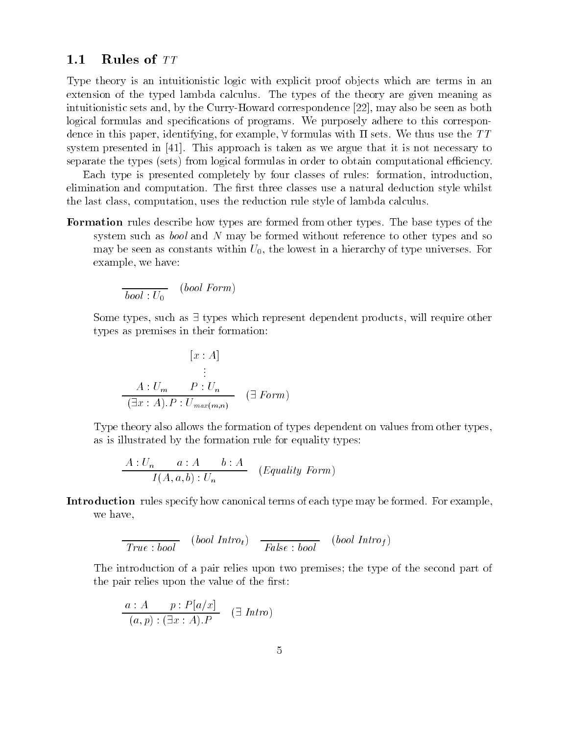### Rules of TT

Type theory is an intuitionistic logic with explicit proof ob jects which are terms in an extension of the type and the types of the type the two the the types of the two the the type associations who intuition and correspondence and a correspondence correspondence - the second correspondence as a corresponden logical formulas and speci
cations of programs We purposely adhere to this correspon dence in the sets paper-sets in the formulas with the sets with the sets with the the sets with the the the t system presented in the most approach in the presented in the second and the second it is not necessary to separate the types (sets) from logical formulas in order to obtain computational efficiency.

Each type is presented completely by four classes of rules formation- introductionreligion and computation and computation and the computation of the computation and computation and computatio ithe last computation-computation-computation-computation-computer of language of lambda calculus calculus of

Formation rules describe how types are formed from other types. The base types of the system such as bool and N may be formed with the formed with the formed with the south and some to other types may be seen as constants within UI, the lower in a hierarchy of type universes For example- we have

$$
\overline{bool: U_0} \quad (bool\ Form)
$$

Some types- such as types which represent dependent products- will require other types as premises in the premises in the premises in the premises in the premises in the premises in the premis

$$
[x : A]
$$
  
\n
$$
\vdots
$$
  
\n
$$
A : U_m \qquad P : U_n
$$
  
\n
$$
(\exists x : A) . P : U_{max(m,n)} \qquad (\exists \text{ Form})
$$

Type theory also allows the formation of types dependent on values from other types, as in its interesting of the formation rule formation rule for the formation of the formation of the formation

$$
\frac{A:U_n \qquad a:A \qquad b:A}{I(A,a,b):U_n} \qquad (Equality \; Form)
$$

Introduction rules specify how canonical terms of each type may be formed. For example. we have.

$$
\overline{True : bool} \quad (bool \; Intro_t) \quad \overline{False : bool} \quad (bool \; Intro_f)
$$

The introduction of a pair relies to prove the type of the type of the second part of the second part of the s the pair relief of the value of the value of the value of the value of the value of the value of the value of t

$$
\frac{a:A \qquad p:P[a/x]}{(a,p):( \exists x:A).P} \quad (\exists \text{Intro})
$$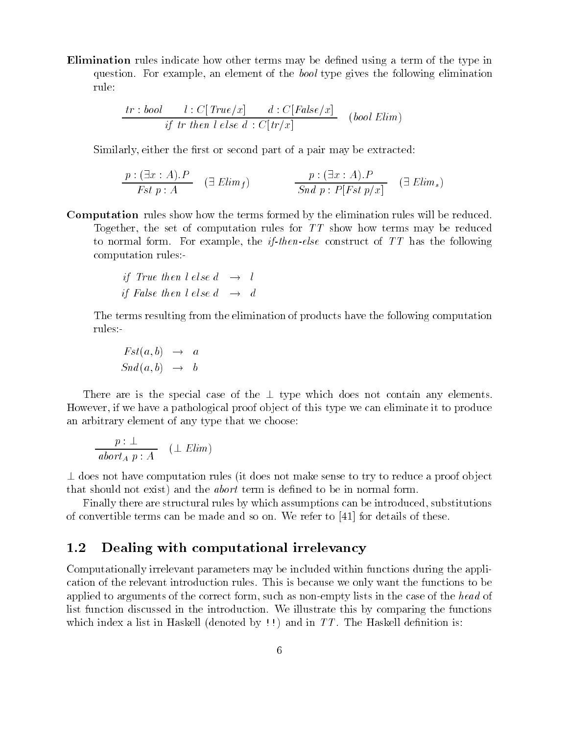Elimination rules indicate how other terms may be defined using a term of the type in distinger is the constant and state gives the following and the following element in the constant of the following elements of the following elements of the following elements of the following elements of the following ele rule

$$
\frac{tr:bool \qquad l: C[True/x] \qquad d: C[False/x]}{if \; tr \; then \; l \; else \; d: C[tr/x]} \quad (bool \; Elim)
$$

Restaurative and complete the second part of the second part of the second and the complete of the second of t

$$
\frac{p:(\exists x:A).P}{Fst\ p:A} \quad (\exists\ Elim_f) \qquad \qquad \frac{p:(\exists x:A).P}{Sndp:P[Fst\ p/x]} \quad (\exists\ Elim_s)
$$

Computation rules show how the terms formed by the elimination rules will be reduced To set of the set of computation rules for the set of computation rules and the reduced to the set of the set o to accessive construct in the construction for the interview of the following of the interview and the following computation rules

if True then 
$$
l
$$
 else  $d \rightarrow l$   
if False then  $l$  else  $d \rightarrow d$ 

The terms resulting from the elimination of products have the following computation rules

$$
Fst(a, b) \rightarrow a
$$
  

$$
Snd(a, b) \rightarrow b
$$

There is the special case of the special case of the the special and the special case when the special contain if we have a particle of the proof of this type we can eliminate it to produce and we convented the choose that we choose the choose that we choose the choose

$$
\frac{p:\perp}{abort_A p:A} \quad (\perp Elim)
$$

 $\perp$  does not have computation rules (it does not make sense to try to reduce a proof object that show that should class is the show that the structure of the above the structure above the structure of t

Finally there are structural rules by which assumptions can be introduced- substitutionsof come can be terms constructions and some and case it a called to the material convertion and the

#### - - -Dealing with computational irrelevancy

Computationally irrelevant parameters may be included within functions during the application of the relevant introduction rules This is because we only want the functions to be applied to argument and the correct form-of the correct form and the such as nonempty in the case in the the c ally aliest function discussed in the introduction of the introduction of the functions of the function of the functions of the functions of the functions of the function of the function of the function of the functions of . And in the Haskell deal and in the function of the Haskell denoted and in the Haskell denoted by the Haskell dealers of the Haskell dealers of the Haskell dealers of the Haskell dealers of the Haskell dealers of the Hask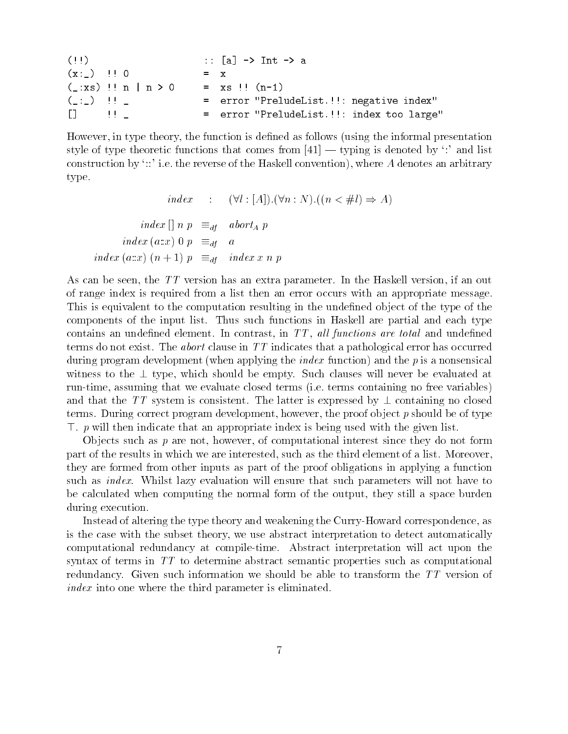| (11)                                          |  |  |  |       |                    | :: $[a]$ -> Int -> a                      |  |
|-----------------------------------------------|--|--|--|-------|--------------------|-------------------------------------------|--|
| $(x:')$ $\cdots$ 0                            |  |  |  | $= x$ |                    |                                           |  |
| $(\_:xs)$ !! n   n > 0                        |  |  |  |       | $= x s$ !! $(n-1)$ |                                           |  |
| $($ $\pm$ $\pm$ $\pm$ $\pm$ $\pm$ $\pm$ $\pm$ |  |  |  |       |                    | = error "PreludeList.!!: negative index"  |  |
|                                               |  |  |  |       |                    | = error "PreludeList.!!: index too large" |  |

However- in type theory- the function is de
ned as follows using the informal presentation style of type theoretic functions that comes from  $[41]$  — typing is denoted by ":" and list construction by ie the reverse of the Haskell convention- where A denotes an arbitrary type

index :  $(\forall l : [A]) . (\forall n : N) . ((n < \# l) \Rightarrow A)$ index  $\begin{bmatrix} n & p \end{bmatrix} \equiv_{df} \text{abort}_A p$ index (ax) 0  $p \equiv_{df} a$ index (ax)  $(n + 1) p \equiv_{df} \text{ index } x n p$ 

... the TT version has a cancell version of the Haskell version-term and the Haskell version-term and of range index is required from a list then an error occurs with an appropriate message This is equivalent to the computation resulting in the undefined object of the type of the components of the input list. Thus such functions in Haskell are partial and each type contrast- in the contrast- in TT - and understanding the state provisions are to include the contrastterms do not exist. The *abort* clause in  $TT$  indicates that a pathological error has occurred during program development (when applying the *index* function) and the  $p$  is a nonsensical with the the type-structure showled be empty Such clauses will never be exactly such at the such at  $\alpha$ runtime- assuming that we evaluate close terms is terms containing no free variables, and that the TT system is consistent. The latter is expressed by  $\perp$  containing no closed terms During correct program development, which is the proof of type of type and the of type - p will then indicate that an appropriate index is being used with the given list

Ob jects such as p are not- however- of computational interest since they do not form part of the results in which we are interested-up to the third element of a list more control to a list  $\alpha$ they are formed from other inputs as part of the proof obligations in applying a function such as *index*. Whilst lazy evaluation will ensure that such parameters will not have to of the normal form computing the normal form of the output, they still a space burden during execution

Instead of altering the type theory and weakening the CurryHoward correspondence- as is the subset the subset theory-theory- we use the subset theory-theory- as the subset and constraint  $\mu$ computational redundancy at compiletime Abstract interpretation will act upon the syntax of terms in TT to determine abstract semantic properties such as computational redundancy. Given such information we should be able to transform the  $TT$  version of index into one where the third parameter is eliminated.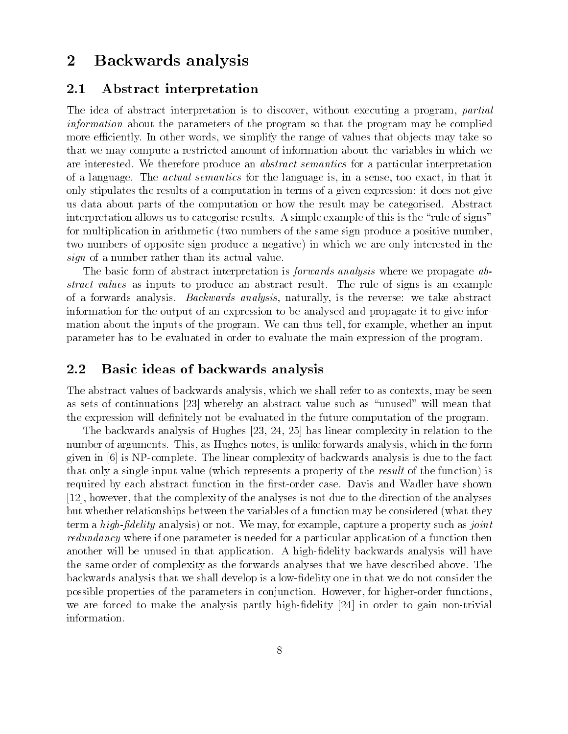# 2 Backwards analysis

#### $2.1$ Abstract interpretation

The idea of abstract interpretation is to discovered at a critical and a processing a programming and information about the parameters of the program so that the program may be complied more eciently In other words- we simplify the range of values that ob jects may take so that we may compute a restricted amount of information about the variables in which we are interested. We therefore produce an *abstract semantics* for a particular interpretation of a language. The actual semantics for the language is- in a select too exactonly stipulates the results of a computation in terms of a given expression: it does not give us data about parts of the computation or how the result may be categorised Abstract interpretation allows us to categorise results. A simple example of this is the "rule of signs" for multiplication in arithmetic (two numbers of the same sign produce a positive number. two numbers of opposite sign produce a negative) in which we are only interested in the styn of a number rather than its actual value.

The basic form of abstract interpretation is *forwards analysis* where we propagate abstract calus in include an and to produce and abstract the rule of signs in a rule of the rule of the rule of of a forwards and the reverse backwards and analysis-in the reverse abstracts are abstracted the reverse we take information for the output of an expression to be analysed and propagate it to give infor mation about the inputs of the program We can thus tell- for example- whether an input parameter has to be evaluated in order to evaluate the main expression of the program

### 2.2 Basic ideas of backwards analysis

The abstract values of backwards analysis- which we shall refer to as contexts- may be seen as sets of continuations  $[23]$  whereby an abstract value such as "unused" will mean that the expression will definitely not be evaluated in the future computation of the program.

 $\mathbf{f}$  and  $\mathbf{f}$  and  $\mathbf{f}$  and  $\mathbf{f}$  and  $\mathbf{f}$  and  $\mathbf{f}$  are latitude to the theorem in relation to the theorem in relation to the set of the set of the set of the set of the set of the set of the set of number of arguments This-Hughes notes-this-berger notes-the-formards analysis-the-formards analysis-the-formards and given in  $[6]$  is NP-complete. The linear complexity of backwards analysis is due to the fact that only a single input value (which represents a property of the result of the function) is required by each abstract function in the first-order case. Davis and Wadler have shown - however- that the complexity of the analyses is not due to the direction of the analyses but whether relationships between the variables of a function may be considered (what they exam a high-packing-amar-bro- or move- we may, nor chample, capture a property such as joint reduction in the case in one parameter is needed for a particular application to particular of a function theorie another will be unused in that application. A high-fidelity backwards analysis will have the same order of complexity as the forwards analyses that we have described above. The backwards analysis that we shall develop is a low-fidelity one in that we do not consider the possible properties of the parameters in conjunction However- for higherorder functionswe are forced to make the analysis partly high-fidelity  $[24]$  in order to gain non-trivial information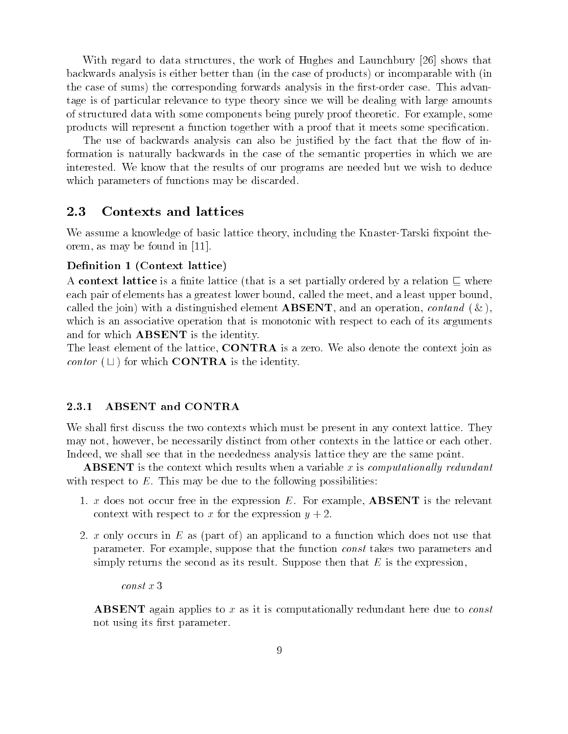with regards to data structures- the work of Hughes and Launchbury (Int) and the that backwards analysis is either better than (in the case of products) or incomparable with (in the case of sums) the corresponding forwards analysis in the first-order case. This advantage is of particular relevance to type theory since we will be dealing with large amounts of structured data with some components being purely proof theoretic For example- some products will represent a function together with a proof that it meets some specification.

The use of backwards analysis can also be justified by the fact that the flow of information is naturally backwards in the case of the semantic properties in which we are interested. We know that the results of our programs are needed but we wish to deduce which parameters of functions may be discarded.

### 2.3 Contexts and lattices

We assume a knowledge of basic lattice theory-basic lattice theory-method  $\Lambda$ orem- as may be found in

#### $\mathbf{C}$  because the context lattice is the context lattice in  $\mathbf{C}$

A context lattice is a finite lattice (that is a set partially ordered by a relation  $\subseteq$  where each pair of elements from a greatest lower bound-upper bound-upper bound-upper bound-upper boundcalled the joint with a distinguished element ABSENT-C-1 and an operation- to contact with which is an associative operation that is monotonic with respect to each of its arguments and for which **ABSENT** is the identity.

The least element of the lattice- CONTRA is a zero We also denote the context join as *contor*  $(\sqcup)$  for which **CONTRA** is the identity.

#### 2.3.1 ABSENT and CONTRA

We shall first discuss the two contexts which must be present in any context lattice. They . However-contracts in the necessarily distinct from other contexts in the lattice or each other contexts Indeed- we shall see that in the neededness analysis lattice they are the same point

**ABSENT** is the context which results when a variable x is computationally redundant with respect to  $E$ . This may be due to the following possibilities:

- . A does not occur free in the expression E For example to the relevant is the relevant is the relevant to rel context with respect to x for the expression  $y + 2$ .
- 2. x only occurs in E as (part of) an applicand to a function which does not use that parameter For example- suppose that the function const takes two parameters and simply returns the second as its result. Suppose then that  $E$  is the expression,

const <sup>x</sup> 

**ABSENT** again applies to x as it is computationally redundant here due to *const* not using its first parameter.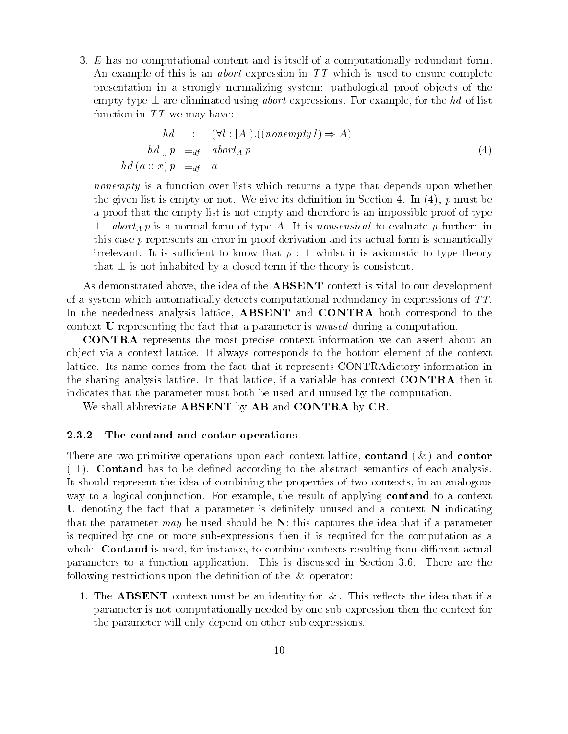3. E has no computational content and is itself of a computationally redundant form. An example of this is an *abort* expression in  $TT$  which is used to ensure complete presentation in a strongly normalizing system: pathological proof objects of the empty type are eliminated using abort examples for the state of list examples for the state  $\sim$ function in  $TT$  we may have:

$$
hd : (\forall l : [A]).((nonempty l) \Rightarrow A)
$$
  

$$
hd [] p \equiv_{df} abort_A p
$$
  

$$
hd (a :: x) p \equiv_{df} a
$$
 (4)

nonempty is a function over lists which returns a type that depends upon whether the given motion there is not well as a must be defined in Section 2011, and the section of  $\alpha$ a proof that the empty list is not empty and therefore is an impossible proof of type  $\perp$ . abort<sub>A</sub> p is a normal form of type A. It is nonsensical to evaluate p further: in this case p represents an error in proof derivation and its actual form is semantically irrelevant. It is sufficient to know that  $p : \bot$  whilst it is axiomatic to type theory that  $\perp$  is not inhabited by a closed term if the theory is consistent.

As demonstrated above- the idea of the ABSENT context is vital to our development of a system which automatically detects computational redundancy in expressions of TT In the neededness analysis lattice- ABSENT and CONTRA both correspond to the context U representing the fact that a parameter is unused during a computation.

CONTRA represents the most precise context information we can assert about an ob ject via a context lattice It always corresponds to the bottom element of the context lattice. Its name comes from the fact that it represents CONTRAdictory information in the sharing analysis lattice In that lattice- if a variable has context CONTRA then it indicates that the parameter must both be used and unused by the computation

We shall abbreviate **ABSENT** by **AB** and **CONTRA** by **CR**.

#### 2.3.2 The contand and contor operations

There are two primitive operations upon each context lattice- contand and contor  $(L)$ . Contand has to be defined according to the abstract semantics of each analysis. It should represent the idea of combining the properties of two contexts- in an analogous way to a logical conjunction For example-U denoting the fact that a parameter is definitely unused and a context N indicating that the parameter may be used should be  $N$ : this captures the idea that if a parameter is required by one or more subexpressions then it is required for the computation as a whole Contains is used-the contexts resulting from different actual contexts resulting from different actual parameters to a function application. This is discussed in Section 3.6. There are the following restrictions upon the definition of the  $\&$  operator:

1. The **ABSENT** context must be an identity for  $\&$ . This reflects the idea that if a parameter is not computationally needed by one subexpression then the context for the parameter will only depend on other sub-expressions.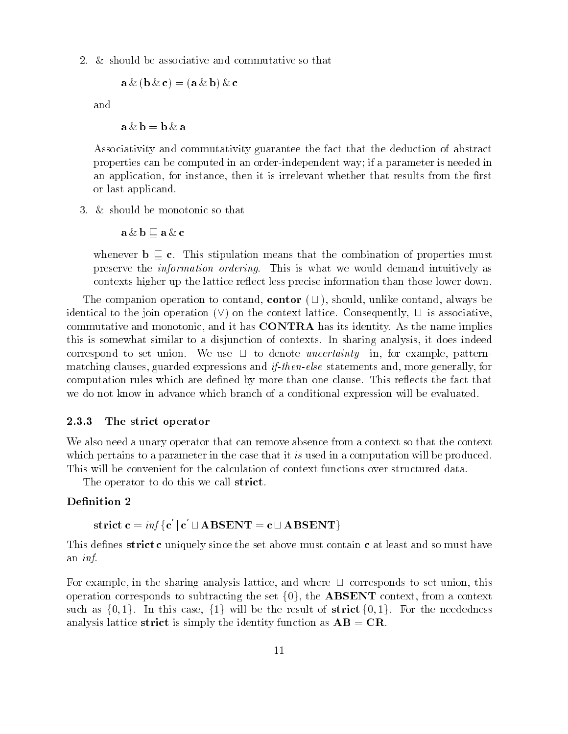2.  $&$  should be associative and commutative so that

 $a \& (b \& c) = (a \& b) \& c$ 

and

 $a \& b = b \& a$ 

Associativity and commutativity guarantee the fact that the deduction of abstract properties can be computed in an order-independent way; if a parameter is needed in an application-that instance-that is instance-that results from the instance-that results from the instance-th or last applicand

3. & should be monotonic so that

 $a \& b \sqsubseteq a \& c$ 

whenever  $\mathbf{b} \subseteq \mathbf{c}$ . This stipulation means that the combination of properties must preserve the *information ordering*. This is what we would demand intuitively as contexts higher up the lattice reflect less precise information than those lower down.

The companion operation to contand, contor  $(\sqcup)$ , should, unlike contand, always be identical to the join operation (v) on the context lattice. Consequently,  $\Box$  is associative, commutative and monotonic- and it has CONTRA has its identity As the name implies this is somewhat similar to a disjunction of contexts In sharing analysis- it does indeed correspond to set union. We use  $\Box$  to denote *uncertainty* in, for example, patternelse claims clauses- and if-the construction of the constructions and if-the construction of the control of the computation rules which are defined by more than one clause. This reflects the fact that we do not know in advance which branch of a conditional expression will be evaluated

#### 2.3.3 The strict operator

We also need a unary operator that can remove absence from a context so that the context which pertains to a parameter in the case that it is used in a computation will be produced. This will be convenient for the calculation of context functions over structured data

The operator to do this we call strict.

#### Definition 2

$$
strict \; c = \inf \{ c' \; | \; c' \sqcup \mathbf{ABSENT} = c \sqcup \mathbf{ABSENT} \}
$$

This defines strict c uniquely since the set above must contain c at least and so must have an inf

For example, in the sharing analysis lattice, and where  $\Box$  corresponds to set union, this operation corresponds to subtracting the set  $\{0\}$ , the  $\bf{ADSEINI}$  context, from a context such as  $\{0, 1\}$ . In this case,  $\{1\}$  will be the result of strict  $\{0, 1\}$ . For the neededness analysis lattice strict is simply the identity function as  $AB = CR$ .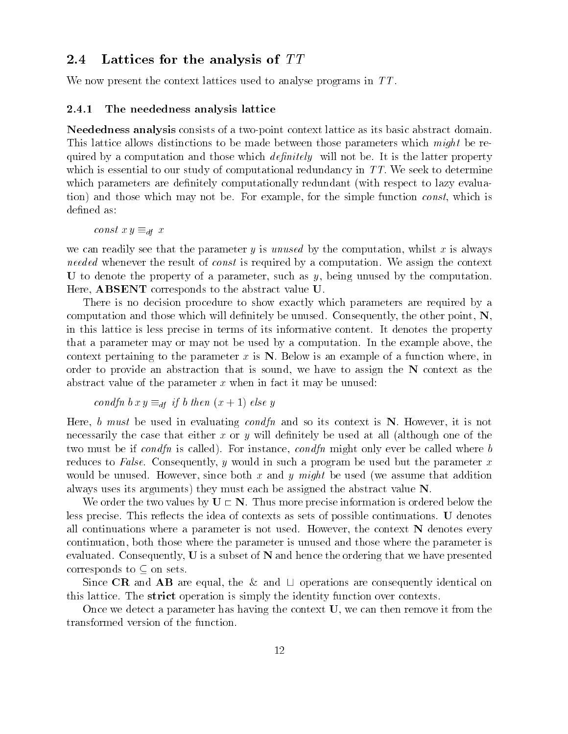### 2.4 Lattices for the analysis of  $TT$

We have a welcomed the context lattices used to analyse programs in TTTIC and the context to analyse program in

#### 2.4.1 The neededness analysis lattice

Neededness analysis consists of a two-point context lattice as its basic abstract domain. This lattice allows distinctions to be made a parameter of the parameters of the parameters which might be read diament by a computation and those will not be interesting and the modern property with the latter property of which is estentially to our study of computational redundance in TT We see the sector in TT We seek to determine which parameters are deviced to late are described to late to late to lazy to late to lay the respect to layer tional status construct matched which is not the simple-simple-simple-simple-simple-simple-simple-simple-simplede
ned as

construct  $y = u_1$ 

we can readily see that the parameter <sup>y</sup> is unused by the computation- whilst <sup>x</sup> is always needed whenever the result of const is required by <sup>a</sup> computation We assign the context . An interesting being by the parameter of a parameter of a parameter of a parameter of a parameter of a parameters Here- ABSENT corresponds to the abstract value U

There is no decision procedure to show exactly which parameters are required by a compute consequently- and the unusuation and those will develop your Consequently- and consequently- and the t in this about the such precise in terms of its its information of the property in the property in the property that a parameter or may not be used a parameter was designed by a computation of the example above the example context pertaining to the parameter  $\alpha$  is the parameter  $\alpha$  is the parameter  $\alpha$  in the  $\alpha$  in a function  $\alpha$  is a function of a function  $\alpha$ order to broire and abstraction that is sounded its way. The second and the N context as the N context and the abstract value of the parameter  $\alpha$  when it may be unused it may be unused it may be unusuated the unit

$$
condfn \, bx \, y \equiv_{df} \, if \, b \, then \, (x+1) \, else \, y
$$

here it it was a word and conservation of its context in the context is not all the south and the most is not necessarily the case that the case of the case of the case of the case of the case interesting at a section of the must be it containst the called Form and the model of consideration and instance in conditions in the call eventure to False Consequently- in the parameter would be used by the parameter and the parameter  $\alpha$ would be understanding and y might be under the unusual of the used of the unit between and unusual and the use always uses its arguments they must be a strategic value of the abstract of the abstract value of the abstract

We order the two values by U N Thus more precise information is ordered below the less precise This reects the idea of contexts as sets of possible continuations U denotes all continuations where a parameters is not used How and the context of the context nature is a context of con continuation- that whose very continued and those where you was whose very continued and those where the and th evaluated Consequently-Consequently- a subset of the order than and hence the consequently-served the consequent corresponds to on sets

Since CIV with the with consequently by with  $\Box$  operations with consequently identical on this strict The strict operation is simply that is simply the interest of the interest of  $\alpha$ 

O sect we can the parameters except the context of the context of the context U-C of the context of the context  $\sim$ transformed version of the function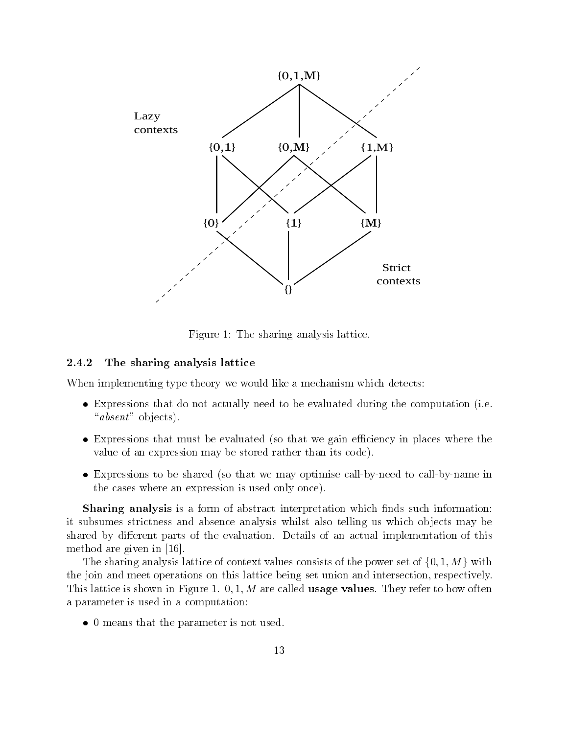

Figure The sharing analysis lattice

#### 2.4.2 The sharing analysis lattice

When implementing type theory we would like a mechanism which detects:

- $\bullet$  expressions that do not actually need to be evaluated during the computation (i.e. " $absent$ " objects).
- $\bullet$  expressions that must be evaluated tso that we gain efficiency in places where the value of was caped than an expert to code the store than its code to de
- $\bullet$  expressions to be shared tso that we may optimise call-by-need to call-by-name in the case of the case where any and the second one of the cases of the control of the control of the control of

sharing and the form in the form of the such interpretation of a form of the such that is a form of the such t it subsumes strict and absence and absence and absence and absence and telling us which or in the second in or shared by diensing parts of the example of the evaluations of a control and the annual international international in method are given in

The sharing analysis lattice of context values consists of the power set of  $\{0, 1, M\}$  with the joing week and at the meeting and meet was and interest and the set union and intersection- and intersection The show is the static in Figure is the static value of the static term in Figure 1 and 2 and 2 and 2 and 2 and a parameter is used in a computation of the computation of the computation of the computation of the computation

 $\bullet$  U means that the parameter is not used.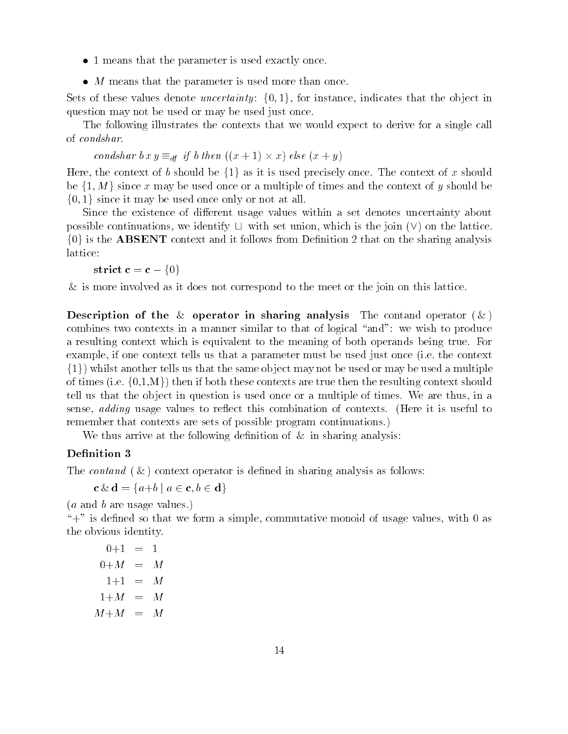- $\bullet$  1 means that the parameter is used exactly once.
- <sup>M</sup> means that the parameter is used more than once

Sets of these values denote  $\it unceruantu$ ;  $\it \{0,1\}$ . for instance, indicates that the object in question may not be used or may be used just once

The following interests the contexts that we wanted the context that we would expect to derive the single call of condshar

condshar bx  $y =_{df} y$  b then  $(x + 1) \times x$  else  $(x + y)$ 

Here, the context of  $\mathfrak o$  should be  $\{1\}$  as it is used precisely once. The context of  $x$  should be  $\{1, M\}$  since x may be used once or a multiple of times and the context of y should be f- <sup>g</sup> since it may be used once only or not at all

Since the existence of dierent usage values within <sup>a</sup> set denotes uncertainty about possible continuations, we identify  $\Box$  with set union, which is the join  $(\lor)$  on the lattice.  $\{0\}$  is the ABSENT context and it follows from Definition Z that on the sharing analysis lattice

strict  $c = c - \{0\}$ 

is as mores were as it does not as it does not correspond to the meeting or the seat in the them the thing and

Description of the  $\&$  operator in sharing analysis The contand operator  $(\&)$ combines two completes in a manufacture similar to that of the similar to the total to produce the produce of a resulting context which is extended to the meaning of the meaning of both operation of the meaning true Form example-context tell used used that a parameter must be used the context on the context of the context of the c  $\{1\}$ ) whilst another tells us that the same object may not be used or may be used a multiple of times (i.e. {U,1,M } ) then if both these contexts are true then the resulting context should tell us that the object in the objection is used on the original or the times we are the time of the times we a sense- adding usage values to reect to reect the computer of the computer interest to a second to remember that context are sets of possible program continued to program continuations of program continued to

we the following and the following developed the following developed and the following and the following of th

### Definition 3

The contract operator is described on the contract of the sharing and the context of the context of the context

 $\mathbf{c} \propto \mathbf{a} = \langle a + b \mid a \in \mathbf{c}, b \in \mathbf{a} \rangle$ 

 $(a \text{ and } b \text{ are usage values.})$ 

. A simple-so the south and the with the simple-south with the south of usage values- with the south of usage v the obvious identity

"  $0+M = M$ " <sup>M</sup>  $1+M = M$  $M+M = M$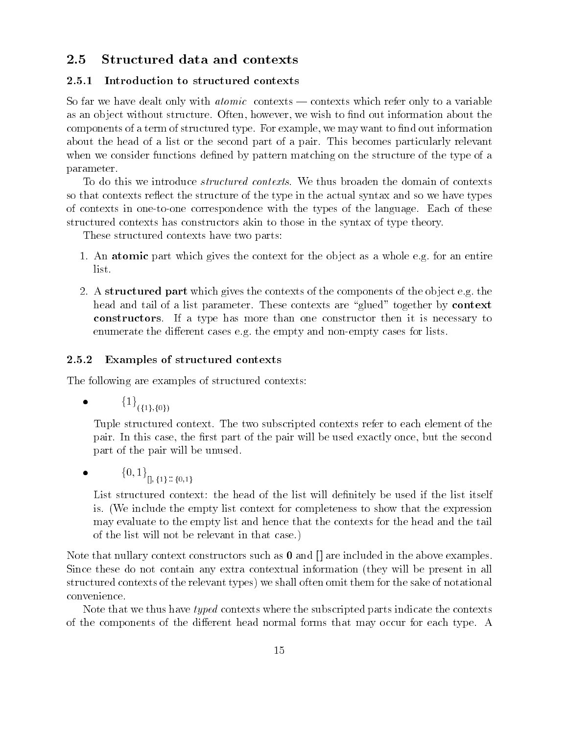### 2.5 Structured data and contexts

#### 2.5.1 Introduction to structured contexts

So far we have dealt only with  $atomic$  contexts  $\sim$  contexts which refer only to a variable as an object without structure Often- provided the United Structures and the complete structure about the struc components of a term of structured type For example-to-the-to-the-to-the-to-the-to-the-to-the-to-the-to-the-toabout the head of a list or the second part of a pair This becomes particularly relevant when we consider functions defined by pattern matching on the structure of the type of a parameter

To do this we introduce *structured contexts*. We thus broaden the domain of contexts so that contexts reflect the structure of the type in the actual syntax and so we have types of contexts in onetoone correspondence with the types of the language Each of these structured contexts has constructors akin to those in the syntax of type theory

These structured contexts have two parts

- 1. An atomic part which gives the context for the object as a whole e.g. for an entire list
- 2. A structured part which gives the contexts of the components of the object e.g. the head and tail of a list parameter. These contexts are "glued" together by **context** constructors If a type has more than one constructor then it is necessary to enumerate the different cases e.g. the empty and non-empty cases for lists.

#### 2.5.2 Examples of structured contexts

The following are examples of structured contexts

 $\bullet$  $\{\perp\}$ <sub>({1},{0})</sub>

> Tuple structured context. The two subscripted contexts refer to each element of the pair in this case of the second part of the pair will be used the second the second will be used the second part of the pair will be unused

 $\{0, 1\}$   $\left[0, \{1\} : \{0, 1\}\right]$ 

List structured context: the head of the list will definitely be used if the list itself is. (We include the empty list context for completeness to show that the expression may evaluate to the empty list and hence that the contexts for the head and the tail of the list will not be relevant in that case

Note that nullary context constructors such as  $\bf{0}$  and  $\bf{[}$  are included in the above examples. Since these do not contain any extra contextual information (they will be present in all structured contexts of the relevant types) we shall often omit them for the sake of notational convenience

Note that we thus have typed contexts where the subscripted parts indicate the contexts of the components of the different head normal forms that may occur for each type. A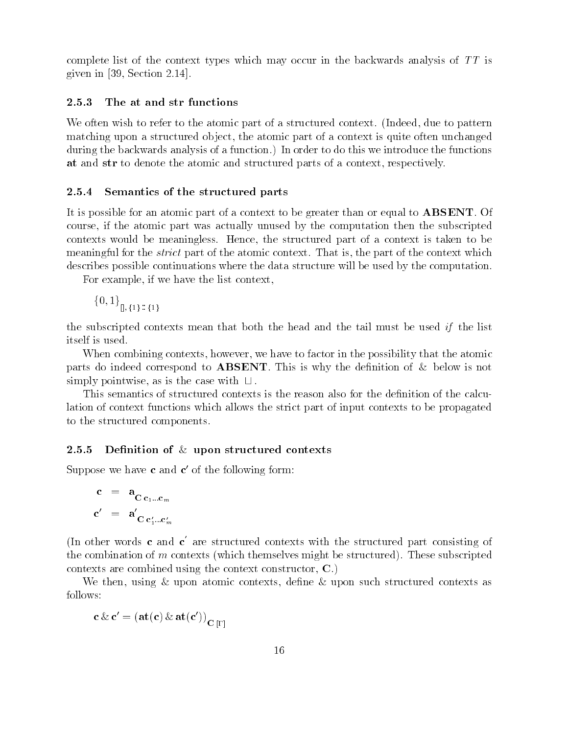complete and complete complete a context to the context types which may occur in the backwards and TT is in th  $\mathbb{R}^2$  ,  $\mathbb{R}^2$  is a section of  $\mathbb{R}^2$  . Set if  $\mathbb{R}^2$  is the set of  $\mathbb{R}^2$ 

#### 2.5.3 The at and str functions

We often wish to refer to the atomic part of a structured context Indeed- due to patternmatching upon a structure of a context is a context of a context is a complete of a context is a context of a during the backwards and the backwards and the backwards and the function introduced the functions of the functions of the functions of the functions of the functions of the functions of the functions of the functions of t at and structure at a context and structure parts of a context and a context-text-text-text-

#### 2.5.4 Semantics of the structured parts

It is possible for an atomic part of a context to be greater than or equal to ABSENT Of course- it the atomic part in the subscripted by the subscription of the subscripted by the subscription of th comes and the structure of the structure is the structure of the structure of the structure and the structure o as the strict the strict part of the strict part of the strict of the strict part of the part of the context i describes possible continuations where the data structure will be used by the computation

a va viewese pave is the and the vant and the dans were t

 $\{0, 1\}$   $\{1\}$  :  $\{1\}$ 

the subscripted contexts means the subscripted contexts in the mean that the tail must be used if the tail must itself is used

when compining compiled a compiled to factor in the possibility of the possibility of the possibility of the possibility of the possibility of the possibility of the possibility of the possibility of the possibility of the parts do interest correspond to the definition of the definition  $\alpha$  is the definition of  $\mathcal{M}$  is not defined to the definition of  $\alpha$  $\sup$  simply pointwise, as is the case with  $\sqcup$  .

This semant is search of the reason of the context is the reason also for the reason of the decomposition of t lation of context functions which allows the strict part of input contexts to be propagatedto the structure components components.

### 2.5.5 Definition of  $\&$  upon structured contexts

Suppose we have c and  $c'$  of the following form:

$$
\begin{array}{rcl}\n\mathbf{c} & = & \mathbf{a}_{\mathbf{C} \, \mathbf{c}_1 \dots \mathbf{c}_m} \\
\mathbf{c}' & = & \mathbf{a}'_{\mathbf{C} \, \mathbf{c}'_1 \dots \mathbf{c}'_m}\n\end{array}
$$

(In other words c and c are structured contexts with the structured part consisting of the compination of me compination the compined the structured Theory of Might be structured Theory of Structure comet can come commitment using the comet comet composition of the fil

we the structure of the deterministic contexts-contexts-contexts-contexts-contexts-contexts-contexts-contextsfollows

$$
\mathbf{c} \& \mathbf{c}' = (\mathbf{at}(\mathbf{c}) \& \mathbf{at}(\mathbf{c}'))_{\mathbf{C}[\Gamma]}
$$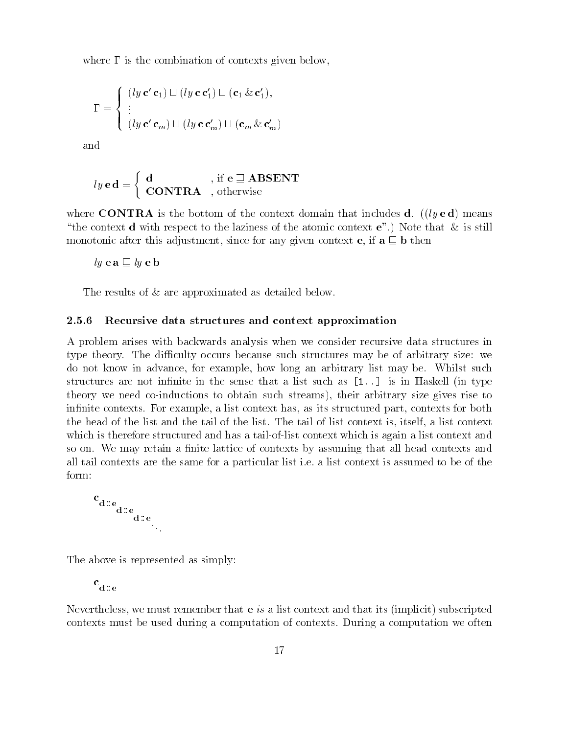where  $\Gamma$  is the combination of contexts given below,

$$
\Gamma = \begin{cases} (ly \mathbf{c'} \mathbf{c}_1) \sqcup (ly \mathbf{c} \mathbf{c}'_1) \sqcup (\mathbf{c}_1 \& \mathbf{c}'_1), \\ \vdots \\ (ly \mathbf{c'} \mathbf{c}_m) \sqcup (ly \mathbf{c} \mathbf{c}'_m) \sqcup (\mathbf{c}_m \& \mathbf{c}'_m) \end{cases}
$$

and

$$
ly\,\mathbf{e}\,\mathbf{d} = \left\{\begin{array}{ll} \mathbf{d} & , \text{ if } \mathbf{e} \sqsupseteq \mathbf{ABSENT} \\ \mathbf{CONTRA} & , \text{ otherwise} \end{array}\right.
$$

where CONTRA is the bottom of the context domain that includes **d**. (*(ly* **e d)** means "the context d with respect to the laziness of the atomic context  $e$ ".) Note that  $\&$  is still monotonic after this adjustment- since for any given context e- if a <sup>v</sup> b then

 $ly$  e a  $\sqsubseteq$   $ly$  e b

The results of  $\&$  are approximated as detailed below.

#### 2.5.6 Recursive data structures and context approximation

A problem arises with backwards analysis when we consider recursive data structures in type theory. The difficulty occurs because such structures may be of arbitrary size: we advance-book in advance-in and advance-in an arbitrary list may be when are arbitrary list whilst such a such structures are not infinite in the sense that a list such as  $[1, .]$  is in Haskell (in type theory we need coinductions to obtain such streams- their arbitrary size gives rise to in the context has-defined part-of-contexts for example-both part-of-contexts for both part-of-contexts for bo the head of the matrix and the tail of the tail of the tail of list context is and the tail of the tail of which is therefore structured and has a tail-of-list context which is again a list context and so on. We may retain a finite lattice of contexts by assuming that all head contexts and all tail contexts are the same for a particular list ie a list context is assumed to be of the form:

$$
c_{d\mathrel{\mathop:} e_{d\mathrel{\mathop:} e}_{d\mathrel{\mathop:} e_{d\mathrel{\mathop:} e}}}
$$

The above is represented as simply:

 $c_{d,e}$ 

. We must remember that exceeds a list context and that its implicited that its implicit subscripted in the subscript contexts must be used during a computation of contexts. During a computation we often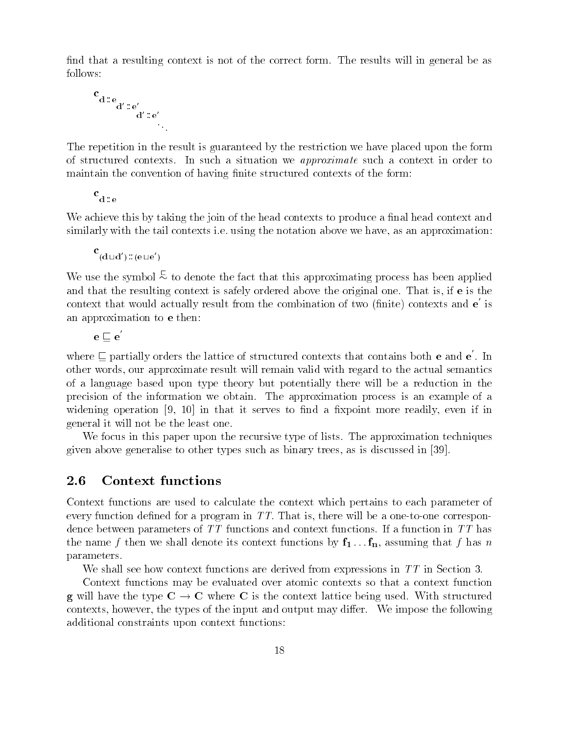nd that a result is not one context is not of the correct form The correct form The results will be a results w follows

$$
c_{d\mathrel{\mathop:}^{\circ} e_{d'\mathrel{\mathop:}^{\circ} e'_{d'\mathrel{\mathop:}^{\circ} e'_{\cdot\cdot\cdot}}}
$$

The repetition is guaranteed to repetition in the repetition were placed the restriction were placed to restrict of structure contexts In such a situation we approximate such a situation of the second international context i maintain the convention of having 
nite structured contexts of the form

 $\mathbf{d}$  : e

We achieve this by taking the join of the head contexts to produce a final head context and similarly with the tail context of the tail context, the section we have the notation and the notation above w

$$
\mathbf{c}^{(\mathbf{d} \sqcup \mathbf{d}')} \colon \! (\mathbf{e} \sqcup \mathbf{e}')
$$

We use the symbol  $\approx$  to denote the fact that this approximating process has been applied and the result is the resulting context in safely is safely or or the original one That is the issue that is t context that would actually result from the combination of two (finite) contexts and  $e$  is an an approximation to the to extensive the top of the second terms of the top of the second terms of the second terms of the second terms of the second terms of the second terms of the second terms of the second terms of

 $\mathrm{e}\sqsubset\mathrm{e}$ 

where  $\Box$  partially orders the lattice of structured contexts that contains both **e** and **e** . In others in our approximate result with a proximation of the actual to the actual semantics with regard to the actual semantics of a summit and the state of the theory but potentially the summit theory in the and the state with the reduction in the state of the state of the state of the state of the state of the state of the state of the state of t precision of the information we obtain The approximation process is an example of <sup>a</sup> it the contract of the contract and the contract and the contract of the contract more of the contract of the serves to the contract of the contract of the contract of the contract of the contract of the contract of the co general it will not be the least one one one

We focus in this paper upon the recursive type of lists The approximation techniques given and other generalises to other types such as a consequence in the such as is discussed in the state of t

### 2.6 Context functions

Context functions are used to calculate the context which pertains to each parameter of every a program in TT That is the program in the angle is a program in TT That is a one one correspondent in the dence between parameters of TT functions and context functions and context functions in TT functions and the m  $\mathbf{r}$  is the figure  $\mathbf{r}$  denotes the context functions by  $\mathbf{r}$   $\mathbf{r}$  as that for  $\mathbf{r}$ parameters

We shall see that the section of the derived for the derived functions in TT in TT in Sections in  $\Lambda$ 

Context functions may be evaluated over atomic contexts so that <sup>a</sup> context function g will have the type  $\alpha$  . The type  $\alpha$  will have context the context lattice being used with structured with structured with structured with structured with structured with structured with structured with structured wi comes context were controlled and output may and the input and output may discuss the the the second manufactu additional constraints upon context functions upon constraints and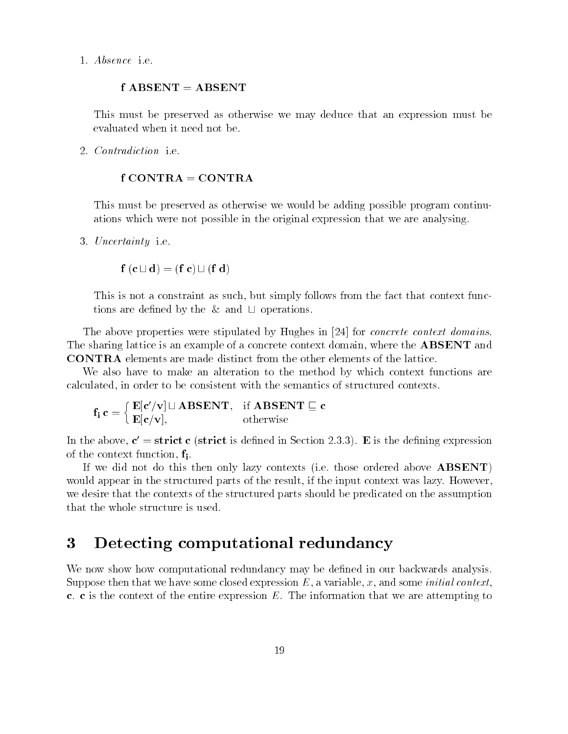Absence ie

### $f$  ABSENT = ABSENT

This must be preserved as otherwise we may deduce the most must be a preserved we must be an expression of the even when it need not be a second the contract of the second second terms of the second second terms of the second second second second second second second second second second second second second second second second se

Contradiction ie

### $f$  CONTRA = CONTRA

This must be preserved as otherwise we would be a solution of the adding possible program continued to the program continued of the program continued be adding to the program continued be adding to the program continued be ations which were not possible in the original expression that we are analysing

 Uncertainty ie

$$
f\left(c\sqcup d\right)=\left(f\ c\right)\sqcup\left(f\ d\right)
$$

This is not a constraint as such that the fact that the fact that the fact that the fact the fact that the function tions were dependent of the CN theory of Operations and

The above properties were stipulated by Hughes and the Hughes in the concernsive concrete context domains and The sharing lattice is an example of a concrete context domain- where the ABSENT and CONTRA elements are made distinct from the other elements of the lattice

We also have to make an alteration to the method by which context functions are calculated-consistent with the constant of the semantics of structure consistent with the semantic of structure

$$
\mathbf{f}_i \, \mathbf{c} = \left\{ \begin{array}{ll} \mathbf{E}[\mathbf{c}^\prime/\mathbf{v}] \sqcup \mathbf{ABSENT}, & \text{if } \mathbf{ABSENT} \sqsubseteq \mathbf{c} \\ \mathbf{E}[\mathbf{c}/\mathbf{v}], & \text{otherwise} \end{array} \right.
$$

In the above,  $c = s$  arriel  $c$  (strict is defined in Section Z.S.S). E is the defining expression of the componet function-, fl.

If we did not above the this there were above above the there is the then of the those of the modern above ABS would apply context in the structure parts of the structured in the structure of the structure in the internal we desire that the contexts of the structured parts should be predicated on the assumption

#### $\bf{3}$ Detecting computational redundancy

we alvit datoit alvit computational redundance also to delle in our and modern de under the delight Suppose the means in a week of a context- and context- and the interesting and the context since on a context o c. c is the context of the entire expression  $E$ . The information that we are attempting to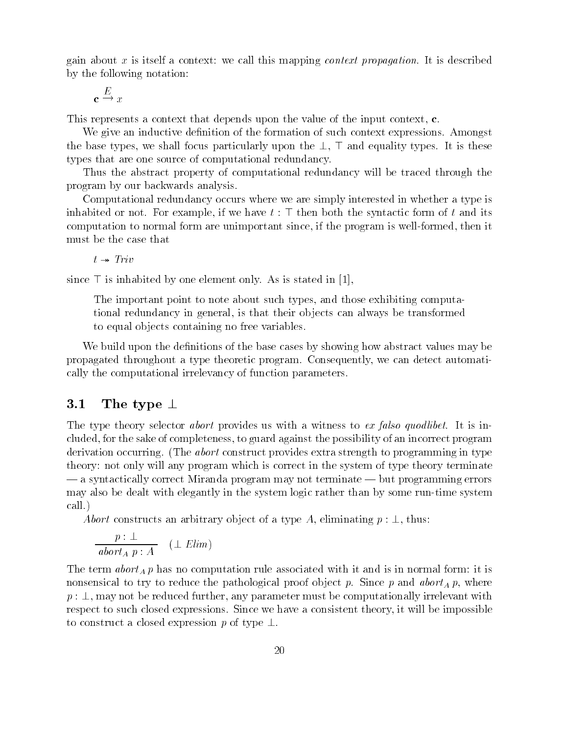gain about x is itself a context: we call this mapping *context propagation*. It is described by the following notation

$$
\mathbf{c} \xrightarrow{E} x
$$

This represents a context that depends upon the value of the input context- c

We give an inductive definition of the formation of such context expressions. Amongst the base types- we shall focus particularly upon the - - and equality types It is these types that are one source of computational redundancy

Thus the abstract property of computational redundancy will be traced through the program by our backwards analysis

Computational redundancy occurs where we are simply interested in whether a type is inhabited or notes for example-, if we have t and its compact the synthesis form of the synthesis for computation to normal form are unit since  $\mu$  the since-then it then it then it then it then it the must be the case that

 $t \rightarrow Triv$ 

since - is interested by one element only as is stated in  $\mathbb{R}^n$ 

The important point to note about such types- and those exhibiting computa tional redundancy in general- is that their ob jects can always be transformed to equal objects containing no free variables.

We build upon the definitions of the base cases by showing how abstract values may be propagated throughout a type theoretic program Consequently- we can detect automati cally the computational irrelevancy of function parameters

#### $3.1$ The type  $\perp$

The type theory selector *abort* provides us with a witness to ex falso quodlibet. It is includes- to guard against the sake of completeness- to guard against the possibility of an incorrect program ag derivation occurring. (The *abort* construct provides extra strength to programming in type theory: not only will any program which is correct in the system of type theory terminate  $-$  a syntactically correct Miranda program may not terminate  $-$  but programming errors may also be dealt with elegantly in the system logic rather than by some runtime system call

Abort constructs an arbitrary ob ject of a type A- eliminating p - thus

$$
\frac{p:\perp}{abort_A p:A} \quad (\perp Elim)
$$

The term abort A <sup>p</sup> has no computation rule associated with it and is in normal form it is nonsensical to try to reduce the pathological proof ob ject p Since <sup>p</sup> and abortA p- where p - may not be reduced further- any parameter must be computationally irrelevant with respect to such closed expressions Since we have a consistent theory- it will be impossible to construct a closed expression p of type  $\perp$ .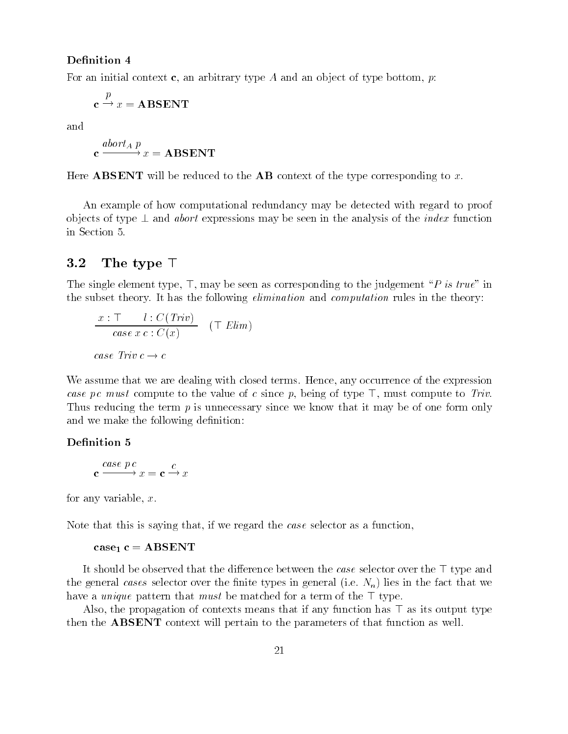### Definition 4

For an initial context c- an arbitrary type A and an ob ject of type bottom- p

$$
\mathbf{c} \xrightarrow{p} x = \mathbf{ABSENT}
$$

and

$$
\mathbf{c} \xrightarrow{abort_A p} x = \mathbf{ABSENT}
$$

Here **ABSENT** will be reduced to the **AB** context of the type corresponding to x.

An example of how computational redundancy may be detected with regard to proof objects of type  $\perp$  and abort expressions may be seen in the analysis of the *index* function in Section

### 3.2 The type  $\top$

The single element type- -- may be seen as corresponding to the judgement #P is true\$ in the subset theory. It has the following *elimination* and *computation* rules in the theory:

$$
\frac{x:\top \quad l:C(Triv)}{case \; x \; c:C(x)} \quad (\top \;Elim)
$$
  
case Triv  $c \rightarrow c$ 

We assume that we are dealing with closed terms Hence- any occurrence of the expression case p c must compute to the value of the since processing of type of money computer to Trivia Thus reducing the term  $p$  is unnecessary since we know that it may be of one form only and we make the following definition:

### Definition 5

$$
\mathbf{c} \xrightarrow{case \ p \ c} x = \mathbf{c} \xrightarrow{c} x
$$

for any variable-set  $\mathcal{A}$  and  $\mathcal{A}$  and  $\mathcal{A}$  and  $\mathcal{A}$  and  $\mathcal{A}$ 

Note that this is saying that- if we regard the case selector as a function-

#### case-beam case-beam case-beam case-beam case-beam case-beam case-beam case-beam case-beam case-beam case-beam

It should be observed that the dierence between the case selector over the - type and the general cases selector over the finite types in general (i.e.  $N_n$ ) lies in the fact that we have a unique pattern that must be matched for a term of the - type

the propagation of contexts means that it any function of  $\alpha$  and its contexts means output to a set  $\alpha$  and  $\beta$  its then the ABSENT context will pertain to the parameters of that function as well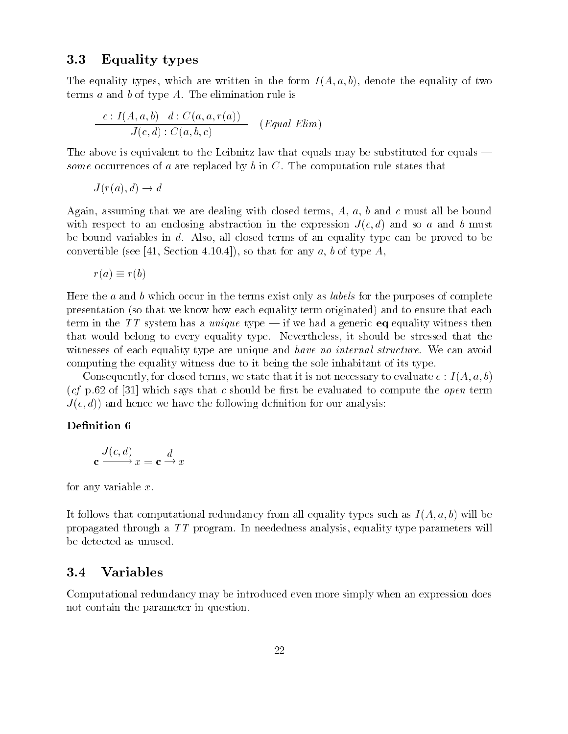### Equality types

The equality types- which are written in the form I A- a- b- denote the equality of two terms  $a$  and  $b$  of type  $A$ . The elimination rule is

$$
\frac{c: I(A, a, b) \quad d: C(a, a, r(a))}{J(c, d): C(a, b, c)} \quad (Equal \; Elim)
$$

The above is equivalent to the Leibnitz law that equals may be substituted for equals some occurrences of a are replaced by b in  $C$ . The computation rule states that

J ra- d d

assuming that we are dealing with close terms-dealing with closed terms-dewith respect to an enclosing abstraction in the expression J c-coc so and b must be must be bound variables in discognized terms of an equality type can be proved to be proved to be convertise (see joint converted books of the converted and the south section

$$
r(a) \equiv r(b)
$$

Here the a and b which occur in the terms exist only as *labels* for the purposes of complete presentation (so that we know how each equality term originated) and to ensure that each term in the TT system has a *unique* type  $\frac{d}{dx}$  if we had a generic **eq** equality witness then that would belong to every equality type Nevertheless- it should be stressed that the witnesses of each equality type are unique and have no internal structure. We can avoid computing the equality witness due to it being the sole inhabitant of its type

we state the consequent of the it is not necessary to evaluate the consequent of the consequent of the consequent of  $\mathcal{C}$ (cf p.62 of [31] which says that c should be first be evaluated to compute the open term J c- d and hence we have the following de
nition for our analysis

### Definition 6

$$
\mathbf{c} \xrightarrow{J(c,d)} x = \mathbf{c} \xrightarrow{d} x
$$

for any variable  $x$ .

It follows that computational redundancy from all equality types such as I  $\Lambda$  - I all  $\Lambda$ propagated through a TT program In neededness analysis- equality type parameters will be detected as unused

#### Variables  $3.4$

Computational redundancy may be introduced even more simply when an expression does not contain the parameter in question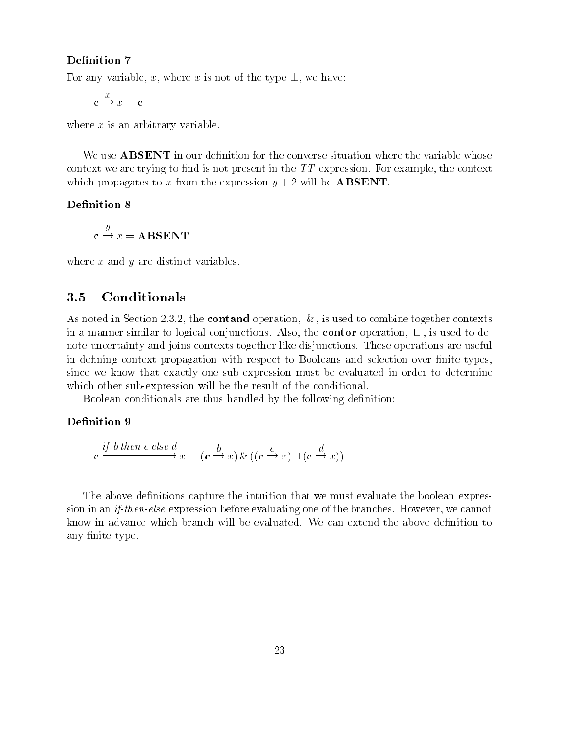For any variable- x- where <sup>x</sup> is not of the type - we have

 $\rightarrow x = c$ 

where  $x$  is an arbitrary variable.

We use **ABSENT** in our definition for the converse situation where the variable whose context we are trying to define in the types in the the the context in the context present context. which propagates to x from the expression  $y + 2$  will be **ABSENT**.

#### Definition 8

**your contract of the contract of the contract of the contract of the contract of the contract of the contract of the contract of the contract of the contract of the contract of the contract of the contract of the contract**  $\sim$   $\sim$   $\sim$   $\sim$   $\sim$   $\sim$   $\sim$ 

where  $x$  and  $y$  are distinct variables.

#### Conditionals  $3.5$

as as the contact operation-together contains the contact operation-together contexts to context to context to in a manual contor to logical conjunctions also-the contorers and the contor of  $\sim$ note uncertainty and joins contexts together like disjunctions These operations are useful in defining context propagation with respect to Booleans and selection over finite types, since we know that exactly one subexpression must be evaluated in order to determine which other sub-expression will be the result of the conditional.

Boolean conditionals are thus handled by the following definition:

#### Definition 9

$$
\mathbf{c} \xrightarrow{if \ b \ then \ c \ else \ d} x = (\mathbf{c} \xrightarrow{b} x) \& ((\mathbf{c} \xrightarrow{c} x) \sqcup (\mathbf{c} \xrightarrow{d} x))
$$

The above definitions capture the intuition that we must evaluate the boolean expreselse expression before evaporation of the branches However-Companion and the branches However-Companion know in advance which branch will be evaluated. We can extend the above definition to any 
nite type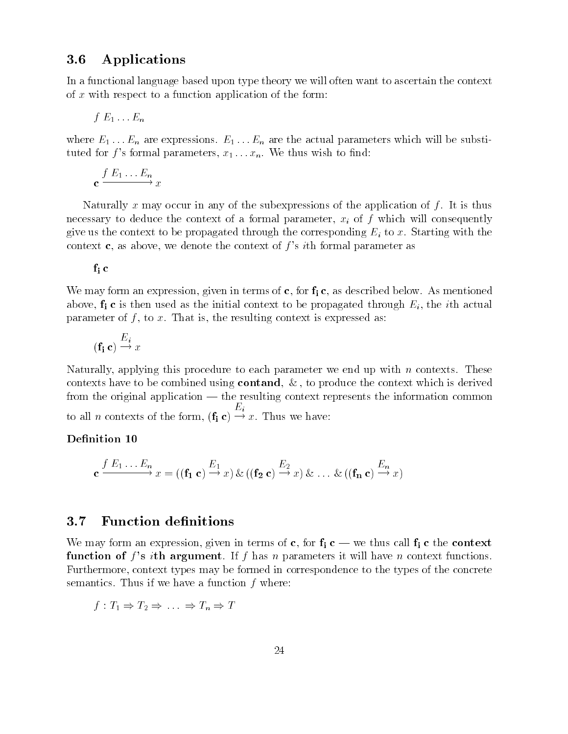### 3.6 Applications

In a functional language based upon type theory we will often want to ascertain the context of x with respect to a function application of the form:

$$
f\mathrel{E_1} \ldots \mathrel{E_n}
$$

where  $E_1 \ldots E_n$  are expressions.  $E_1 \ldots E_n$  are the actual parameters which will be substitutted for f second parameters to the filtre  $\mu$  . The top wish to the filtre th

$$
c \xrightarrow{f E_1 \dots E_n} x
$$

Naturally x may occur in any of the subexpressions of the application of f. It is thus necessary to deduce the context of a formal parameter-  $\alpha$  and  $\alpha$ give us the context to be propagated through the corresponding  $E_i$  to x. Starting with the context of context of the context of the context of f s film formal parameter as as

-1 -

iis weed, we as debelow and the correct of clear and the sign and all all the context of context in the western above-then the indicated as the initial context to be propagated through Eiparameters of f is the context is expressed as the resulting context is expressed as  $\alpha$ 

$$
(\mathbf{f_i}\ \mathbf{c}) \xrightarrow{E_i} x
$$

Naturally- applying this procedure to each parameter we end up with <sup>n</sup> contexts These cometories have to be combined using containing to produce the context military derived from the original application  $-$  the resulting context represents the information common  $\alpha$  can be context of the form- $\iota$  $\sim$  . Thus we have

### Denition -

$$
\mathbf{c} \xrightarrow{f \ E_1 \dots E_n} x = ((\mathbf{f_1} \ \mathbf{c}) \xrightarrow{E_1} x) \& ((\mathbf{f_2} \ \mathbf{c}) \xrightarrow{E_2} x) \& \dots \& ((\mathbf{f_n} \ \mathbf{c}) \xrightarrow{E_n} x)
$$

iis form an expression-independent of  $\alpha$  is the context of  $\alpha$  and  $\alpha$  and  $\alpha$  and  $\alpha$   $\alpha$   $\alpha$ function of f sites are argument in a largument in parameters in the most function in completely parameters. Furthermore, which types may be formed in correspondence to the types of the types of the types of the concrete semantics. Thus if we have a function  $f$  where:

$$
f: T_1 \Rightarrow T_2 \Rightarrow \dots \Rightarrow T_n \Rightarrow T
$$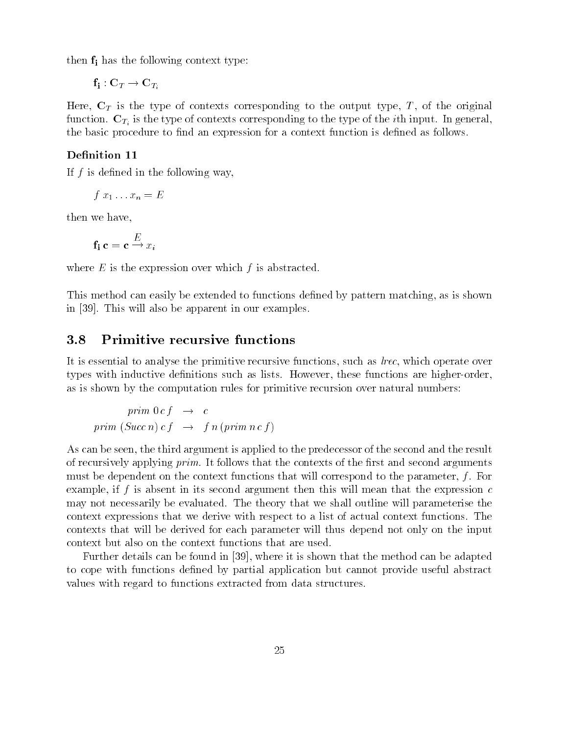in the following context the following context type to the following context type to the following context type to

 $\mathcal{I}$   $\mathcal{I}$   $\mathcal{I}$   $\mathcal{I}$ 

the type of the type-of the the original the original terms context type-of the original terms the original function  $\mathcal{I}_i$  is the type of the type of the type of the ith input  $\mathcal{I}_i$  is the ith in generalthe basic procedure to find an expression for a context function is defined as follows.

If  $f$  is defined in the following way,

 $f x_1 \ldots x_n = E$ 

then we have,

$$
\mathbf{f_i}\ \mathbf{c} = \mathbf{c} \xrightarrow{E} x_i
$$

where  $E$  is the expression over which  $f$  is abstracted.

This method can easily be extended to functions de
ned by pattern matching- as is shown in also be apparent in our examples of the apparent in our examples of the apparent in our examples of the set

It is essential to analyse the primitive recursive functions- such as lrec- which operate over types with inductive de
nitions such as lists However- these functions are higherorderas is shown by the computation rules for primitive recursion over natural numbers

$$
prim\ 0\ c\ f \rightarrow c
$$
  
prim (Succ n) c f \rightarrow fn (prim n c f)

 $\mathcal{A}$ s can be seen-third argument is applied to the predecessor of the second and the second and the result of the result of the result of the second and the result of the result of the second and the result of the res of recursively applying  $prim$ . It follows that the contexts of the first and second arguments must be dependent on the context functions that will context functions to the parameters, to the example- if <sup>f</sup> is absent in its second argument then this will mean that the expression <sup>c</sup> may not necessarily be evaluated. The theory that we shall outline will parameterise the context expressions that we derive with respect to a list of actual context functions The contexts that will be derived for each parameter will thus depend not only on the input context but also on the context functions that are used

Further details can be found in  $\mathbb{L}$  is shown that the method can be adapted can be adapted can be adapted can be adapted for  $\mathbb{L}$ to cope with functions defined by partial application but cannot provide useful abstract values with regard to functions extracted from data structures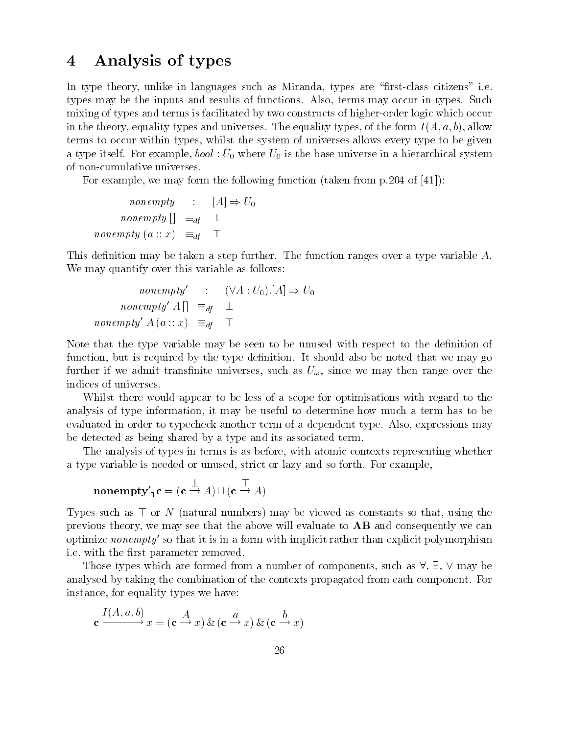# Analysis of types

In type theory- unlike in languages such as Miranda- types are #
rstclass citizens\$ ie types may be the inputs and results of functions Also- terms may occur in types Such mixing of types and terms is facilitated by two constructs of higher-order logic which occur in the theory- equality types and universes The equality types- of the form I A- a- b- allow terms to occur within types, whilst the system of universes allows the system of universes allows  $\Delta$ a type itself For example-type in a high-system in a high-system in a high-system in a high-system in a high-s of non-cumulative universes.

For example- we may form the following function taken from p of 

$$
nonempty : [A] \Rightarrow U_0
$$
  
nonempty []  $\equiv_{df} \perp$   
nonempty (a :: x)  $\equiv_{df} \top$ 

This definition may be taken a step further. The function ranges over a type variable A. We may quantify over this variable as follows:

$$
nonempty' : (\forall A : U_0).[A] \Rightarrow U_0
$$
  
nonempty' A []  $\equiv_{df} \perp$   
nonempty' A (a :: x)  $\equiv_{df} \top$ 

Note that the type variable may be seen to be unused with respect to the definition of function- but is required by the type de
nition It should also be noted that we may go further if we admit trans
nite universes- such as U - since we may then range over the indices of universes

Whilst there would appear to be less of a scope for optimisations with regard to the analysis of type information- it may be useful to determine how much a term has to be evaluated in order to typecheck another term of a dependent type Also- expressions may be detected as being shared by a type and its associated term.

The analysis of types in terms is as before-thermometric representing whether  $\mathcal{M}$ a type variable is interested or and so forth for example or and so forth Formal Company

$$
\mathbf{nonempty}_1' \mathbf{c} = (\mathbf{c} \xrightarrow{\perp} A) \sqcup (\mathbf{c} \xrightarrow{\top} A)
$$

Types such as - or N natural numbers may be viewed as constants so that- using the previous theory- we may see that the above will evaluate to AB and consequently we can optimize  $\emph{nonempty}$  so that it is in a form with implicit rather than explicit polymorphism i.e. with the first parameter removed.

. The second three components is the form and the components-three components-components-componentsanalysed by taking the combination of the contexts propagated from each component. For instance-to-the-to-the-to-the-to-the-to-the-to-the-to-the-to-the-to-the-to-the-to-the-to-the-to-the-to-the-to-

$$
\mathbf{c} \xrightarrow{I(A, a, b)} x = (\mathbf{c} \xrightarrow{A} x) \& (\mathbf{c} \xrightarrow{a} x) \& (\mathbf{c} \xrightarrow{b} x)
$$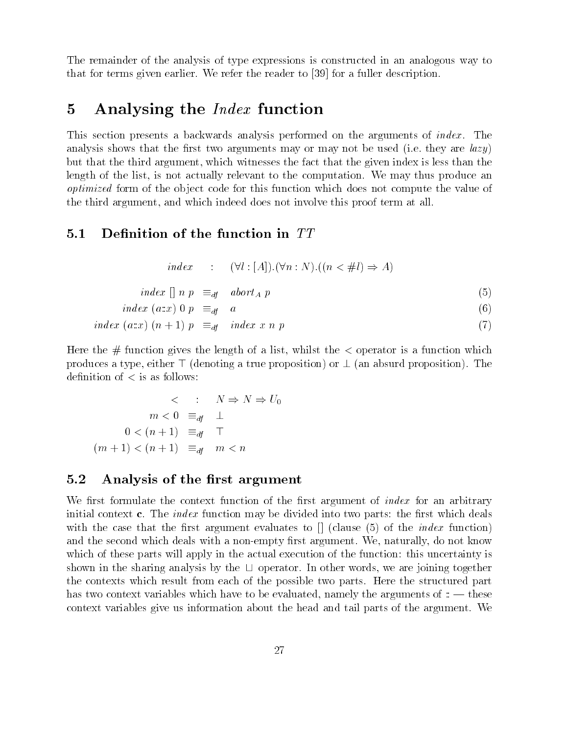The remainder of the analysis of type expressions is constructed in an analogous way to that for terms given early to read the reader the reader to  $\Delta\Lambda$  and the resolution descriptions.

# 5 Analysing the  $Index$  function

This section presents a backwards a performance of the analysis performed on the arguments of index in the arguments rested are arguments arguments arguments and the used interesting in the use are large arguments are large in which are the the third argument index the third are the second the the fact the second in the the second than ales is the list-called and the computation of the computation we may the computation we may the computation w *optimized* form of the object code for this function which does not compute the value of the third which in which indeed and and the second term and the second term at all the control term at all the

### $5.1$

$$
index : (\forall l : [A]).(\forall n : N).((n < \#l) \Rightarrow A)
$$

$$
index \; [] \; n \; p \quad \equiv_{df} \quad abort_A \; p \tag{5}
$$

$$
index \ (a \ldots x) \ 0 \ p \equiv_{df} a \tag{6}
$$

$$
index (a:x) (n+1) p \equiv_{df} index x n p \tag{7}
$$

here it a function gives the length of a list-control is a list-control of a list-control is a function of a f  $p = 0$  denote  $q = 0$  true produces a true proposition  $p = 0$  and  $p = 0$  and  $p = 0$  or  $p = 0$ de
nition of is as follows

$$
\langle \begin{array}{ccc} & \cdot & \cdot & N \Rightarrow N \Rightarrow U_0 \\ m < 0 & \equiv_{df} & \perp \\ 0 < (n+1) & \equiv_{df} & \top \\ (m+1) < (n+1) & \equiv_{df} & m < n \end{array}
$$

### Analysis of the rst argument

rin the context function of the context the context of the anglo-the context of the context complete the context of initial context is a matches on many context context. The distance into provide the state into the divide the rst argument that the case that the case of the case of the index function of the index function of the index f and the second with a notice with a nonempty with a not known with a not are second and the second and the second which of the apply will also will apply the actual execution of the actual execution the function this uncertainty is shown in the sharp and the sharp and the three controls and the the the the the the the theoretical controls t the contexts which results and the possible the structured parts in the possible the structure parts Here the has two context internal interest which have to be evaluated to a the arguments of the arguments of the arguments of context variables give us in the state about the tail parts of the state of the tail parts of the argument West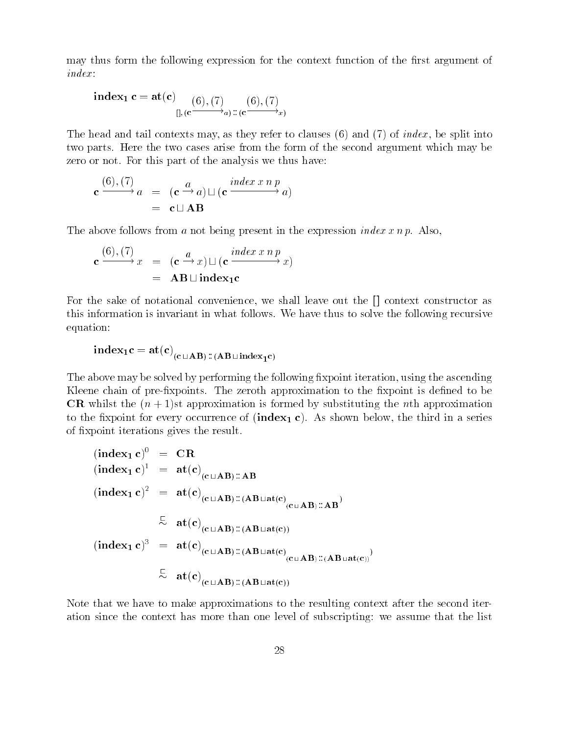may thus form the following expression for the context function of the first argument of

$$
\mathbf{index_1} \ \mathbf{c} = \mathbf{at}(\mathbf{c}) \underset{[], (\mathbf{c} \xrightarrow{\text{(6)}, (7)} a) :: (\mathbf{c} \xrightarrow{\text{(6)}, (7)} x)}
$$

. The matrix may refer to context the specific to context in the split into the split into  $\mathcal{L}$ two parts. Here the two cases arise from the form of the second argument which may be zero or not. For this part of the analysis we thus have:

$$
\mathbf{c} \xrightarrow{(6), (7)} a = (\mathbf{c} \xrightarrow{a} a) \sqcup (\mathbf{c} \xrightarrow{index x n p} a)
$$

$$
= \mathbf{c} \sqcup \mathbf{AB}
$$

The above follows from a not being present in the expression *index xnp*. Also,

$$
\mathbf{c} \xrightarrow{(6), (7)} x = (\mathbf{c} \xrightarrow{a} x) \sqcup (\mathbf{c} \xrightarrow{index x n p} x)
$$

$$
= \mathbf{AB} \sqcup \mathbf{index}_{1} \mathbf{c}
$$

For the sake of notational convenience- we shall leave out the context constructor as this information is invariant in what follows. We have thus to solve the following recursive equation

$$
\mathbf{index}_1 \mathbf{c} = \mathbf{at}(\mathbf{c})_{(\mathbf{c} \sqcup \mathbf{AB}) \colon ((\mathbf{AB} \sqcup \mathbf{index}_1 \mathbf{c})}
$$

The above may be solved by performing the following 
xpoint iteration- using the ascending Kleene chain of pre-fixpoints. The zeroth approximation to the fixpoint is defined to be CR whilst the  $(n + 1)$ st approximation is formed by substituting the *n*th approximation to the the the third in a series for the third in  $\{ \texttt{true}, \texttt{true}, \texttt{true}, \texttt{true}, \texttt{true}, \texttt{true}, \texttt{true}, \texttt{true}, \texttt{true}, \texttt{true}, \texttt{true}, \texttt{true}, \texttt{true}, \texttt{true}, \texttt{true}, \texttt{true}, \texttt{true}, \texttt{true}, \texttt{true}, \texttt{true}, \texttt{true}, \texttt{true}, \texttt{true}, \texttt{true}, \texttt{true}, \texttt{true}, \texttt{true}, \texttt{true}, \$ of xpoint iterations gives the result

$$
(\text{index}_{1} c)^{0} = \text{CR}
$$
\n
$$
(\text{index}_{1} c)^{1} = \text{at}(c)_{(c \sqcup AB) :: AB}
$$
\n
$$
(\text{index}_{1} c)^{2} = \text{at}(c)_{(c \sqcup AB) :: (AB \sqcup \text{at}(c)_{(c \sqcup AB) :: AB})}
$$
\n
$$
\stackrel{=}{\sim} \text{at}(c)_{(c \sqcup AB) :: (AB \sqcup \text{at}(c))}
$$
\n
$$
(\text{index}_{1} c)^{3} = \text{at}(c)_{(c \sqcup AB) :: (AB \sqcup \text{at}(c)_{(c \sqcup AB) :: (AB \sqcup \text{at}(c))})}
$$
\n
$$
\stackrel{=}{\sim} \text{at}(c)_{(c \sqcup AB) :: (AB \sqcup \text{at}(c))}
$$

Note that we have to make approximations to the resulting context after the second iter ation since the context has more than one level of subscripting: we assume that the list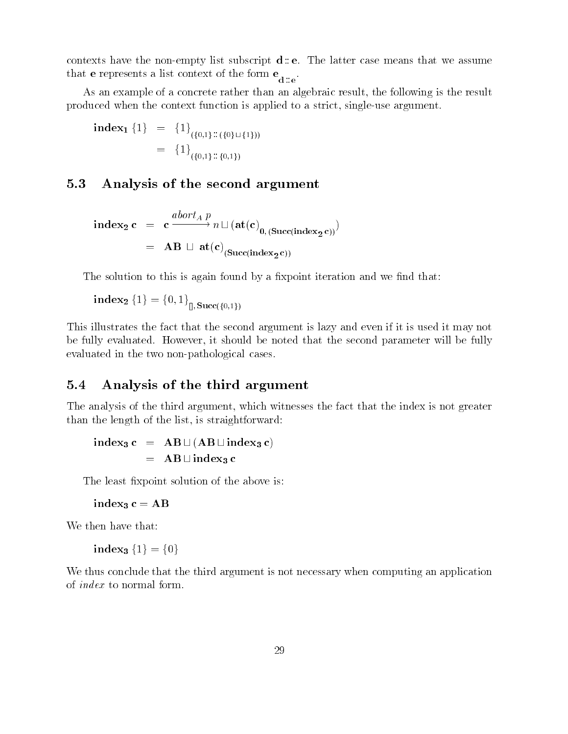contexts have the non-empty list subscript  $d : e$ . The latter case means that we assume that e represents a line  $\mathbf d$  is expected of the form expectation of the form expectation of the form expectation of the form expectation of the form expectation of the form expectation of the form expectation of the fo

as an example of a concrete rather than an algebraic result-than and algebraic resultproduced when the context function is applied to a strict- singleuse argument

index fg fg fg fgtfg fg f--g f--g

### 5.3 Analysis of the second argument

$$
\begin{array}{rcl}\n\text{index}_{2} \, \mathbf{c} & = & \mathbf{c} \xrightarrow{abort_{A} \, p} n \sqcup (\mathbf{at}(\mathbf{c})_{0, \, (\text{Succ}(\text{index}_{2} \, \mathbf{c}))}) \\
& = & \mathbf{AB} \, \sqcup \, \mathbf{at}(\mathbf{c})_{(\text{Succ}(\text{index}_{2} \, \mathbf{c}))}\n\end{array}
$$

The solution to this is again found by a fixpoint iteration and we find that:

 $\text{index}_2 \{1\} = \{0, 1\}_{\text{in, Succ}(\{0, 1\})}$ 

This illustrates the fact that the second argument is lazy and even if it is used it may not be fully evaluated However-Company in the second be noted that the second parameter will be fully evaluated in the two non-pathological cases.

#### $5.4$ Analysis of the third argument

The analysis of the third argument-that the fact that the fact that the index is not greater that the index is no than the length of the list- is straightforward

$$
\begin{array}{rcl}\n\text{index}_3 \, \mathbf{c} & = & \mathbf{AB} \sqcup (\mathbf{AB} \sqcup \mathbf{index}_3 \, \mathbf{c}) \\
& = & \mathbf{AB} \sqcup \mathbf{index}_3 \, \mathbf{c}\n\end{array}
$$

The least fixpoint solution of the above is:

index<sub>3</sub>  $c = AB$ 

We then have that:

index<sub>3</sub>  ${1} = {0}$ 

We thus conclude that the third argument is not necessary when computing an application of index to normal form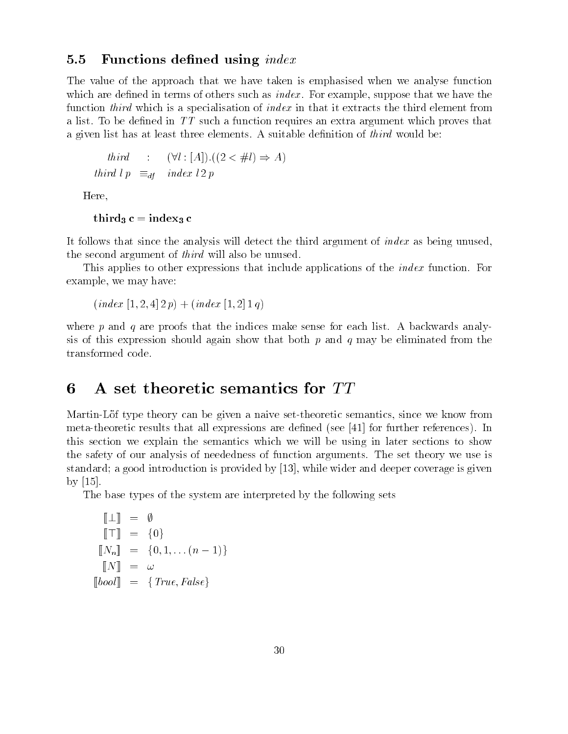#### 5.5 red using the state of the context who were allowed the context of the context of the context of the context of

The value of the approach that we have taken is emphasised when we analyse function which are determined in terms such as index in the such as index  $\mathbf{r}$  as index  $\mathbf{r}$  as index the such as function *third* which is a specialisation of *index* in that it extracts the third element from a list. To be defined in  $TT$  such a function requires an extra argument which proves that a given list has at least three elements. A suitable definition of *third* would be:

$$
third \qquad : \qquad (\forall l : [A]).((2 < \# l) \Rightarrow A)
$$
\n
$$
third \; lp \equiv_{df} \quad index \; l \; 2 \; p
$$

Here-

```
third<sub>3</sub> c = index<sub>3</sub> c
```
It follows that since the analysis will detect the third argument of  $index$  as being unused, the second argument of *third* will also be unused.

This applies to other expressions that include applications of the *index* function. For example-we may have been controlled by the controller state of the controller state of the controller state of

```
index -
 -
   p"index -
   q
```
where p and q are proofs that the indices make sense for each list. A backwards analysis of this expression should again show that both  $p$  and  $q$  may be eliminated from the transformed code

#### A set theoretic semantics for TT 6

MartinLof type theory can be given a naive settheoretic semantics- since we know from meta-theoretic results that all expressions are defined (see  $[41]$  for further references). In this section we explain the semantics which we will be using in later sections to show the safety of our analysis of neededness of function arguments The set theory we use is standard a good introduction is provided by  $\mathcal{C}$  , and deeper coverage is and deep  $\mathcal{C}$  . The by  $|15|$ .

The base types of the system are interpreted by the following sets

$$
\begin{aligned}\n\llbracket \perp \rrbracket &= \emptyset \\
\llbracket \top \rrbracket &= \{0\} \\
\llbracket N_n \rrbracket &= \{0, 1, \dots (n-1)\} \\
\llbracket N \rrbracket &= \omega \\
\llbracket bool \rrbracket &= \{True, False\}\n\end{aligned}
$$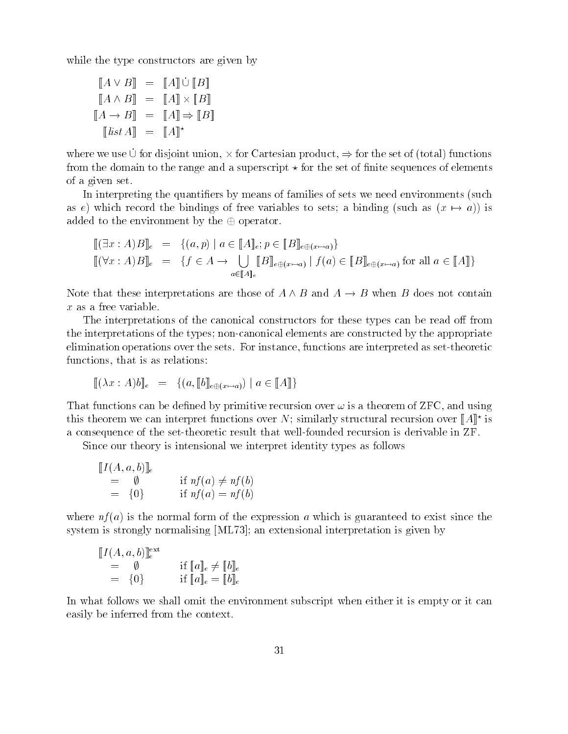while the type constructors are given by the type of the type construction of the second by the second by the

$$
\begin{aligned}\n[A \vee B] &= [A] \cup [B] \\
[A \wedge B] &= [A] \times [B] \\
[A \rightarrow B] &= [A] \Rightarrow [B] \\
[[A \leftrightarrow B] &= [A] \Rightarrow [B]\n\end{aligned}
$$

where we use  $\cup$  for disjoint union,  $\times$  for Uartesian product,  $\Rightarrow$  for the set of (total) functions from the domain to the and a superscript in the set of the set of the sector of the set of the section of the of a given set

In interpreting the quantifiers by means of families of sets we need environments (such as e) which record the bindings of free variables to sets: a binding (such as  $(x \mapsto a)$ ) is added to the environment by the  $\oplus$  operator.

$$
\begin{array}{lll}\n\left[ (\exists x:A)B \right]_{e} & = & \{(a,p) \mid a \in [A]_{e}; p \in [B]_{e \oplus (x \mapsto a)}\} \\
\left[ (\forall x:A)B \right]_{e} & = & \{f \in A \to \bigcup_{a \in [A]_{e}} [B]_{e \oplus (x \mapsto a)} \mid f(a) \in [B]_{e \oplus (x \mapsto a)} \text{ for all } a \in [A] \}\n\end{array}
$$

Note that these interpretations are those of  $A \land B$  and  $A \to B$  when B does not contain  $x$  as a free variable.

The interpretations of the constructions of the constructions of the constructions of the construction of the t the interpretations of the types is are the constructed elements are constructed by the appropriate eliminations operations of in set for a set of instance- the settle setting and interpreted as setting and in . that is a relative to the construction of the construction of the construction of the construction of the co

$$
[\![ (\lambda x : A) b ]\!]_e = \{ (a, [\![ b ]\!]_{e \oplus (x \mapsto a)}) \mid a \in [\![ A ]\!] \}
$$

The functions are defined to define the definition of  $\lambda$  is a theorem of the second or the theorem of the definition of  $\lambda$ this theorem we can interpret functions over *i*v; similarly structural recursion over  $\|A\|$  is a consequence of the settle recursion in the settle recursion in the substance in African in ZFF in Africa and

Since our theory is intensional we interpret identity types as follows

$$
\begin{array}{rcl}\n[I(A, a, b)]_e \\
= & \emptyset \\
= & \{0\} \\
\text{if } nf(a) \neq nf(b)\n\end{array}
$$

where is in a sea is the more than the sea is the expression is the exist of the exist since the exist since t system is strongly normalising ML an extensional interpretation is given by

$$
\begin{array}{llll}\n[I(A, a, b)]_e^{\text{ext}}\\
= & \emptyset & \text{if } [a]_e \neq [b]_e\\
= & \{0\} & \text{if } [a]_e = [b]_e\n\end{array}
$$

In the follows we shall follow we shall very very subscript when environment subscript when  $\alpha$  is experimented in the experiment of  $\alpha$ easily be interested from the context context.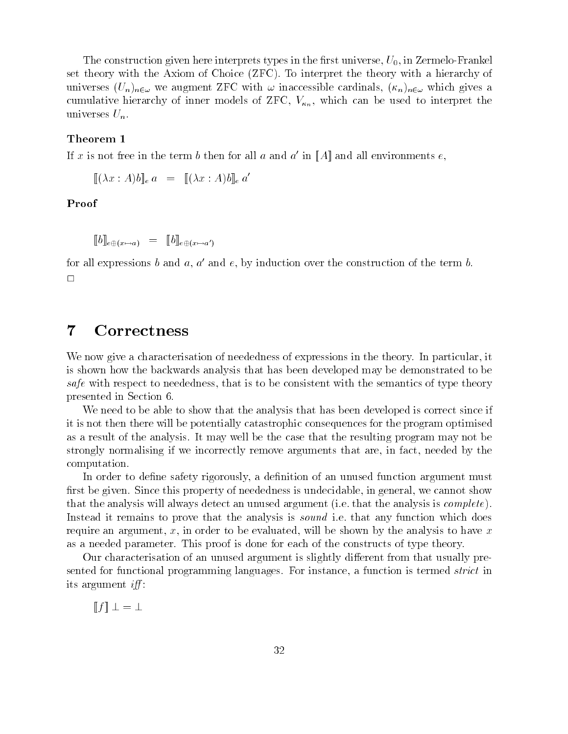The construction given here interprets types in the 
rst universe- U-- in ZermeloFrankel set theory with the Axiom of Choice (ZFC). To interpret the theory with a hierarchy of universes Universes Universes  $\equiv$  , which is the cardinal cardinals (within  $\sim$  Universe  $\sim$   $\sim$ cumulative historic cumulative distribution of  $\pi$  -  $\gamma$  ,  $n_{n}$  , which can be used to interpret the control universes  $U_n$ .

#### Theorem  $1$

If x is not free in the term  $\mathfrak o$  then for all  $a$  and  $a$  -in  $\|A\|$  and all environments  $e,$ 

 $\|(\lambda x : A) \theta\|_e a = \|(\lambda x : A) \theta\|_e a$ 

Proof

 $\mathfrak{u} \circ \mathfrak{u} = \mathfrak{u} \circ \mathfrak{u} \circ \mathfrak{u} \circ \mathfrak{u} \circ \mathfrak{u} \circ \mathfrak{u} \circ \mathfrak{u}$ 

for an expressions  $\theta$  and  $a,\,a$  and  $e,\,$  by induction over the construction of the term  $\theta.$  $\Box$ 

# Correctness

We now giveacharacterisation of neededness of expressions in the theory In particular- it is shown how the backwards analysis that has been developed may be demonstrated to be safe with respect to motivation is that is to be consistent with the semantics of type theory. presented in Section

We need to be able to show that the analysis that has been developed is correct since if it is not then there will be potentially catastrophic consequences for the program optimised as a result of the analysis It may well be the case that the resulting program may not be strongly normalising if we incorrectly remove arguments that are- in fact- needed by the computation

In order to de
ne safety rigorously- a de
nition of an unused function argument must rst be given shown this property of neededness is understanding in general-terms is under that the analysis will always detect an unused argument (i.e. that the analysis is  $complete$ ). Instead it remains to prove that the analysis is *sound* i.e. that any function which does require an argument of the arbitrary to have shown by the analysis to have  $\alpha$  , the shown part of the shown as a needed parameter. This proof is done for each of the constructs of type theory.

Our characterisation of an unused argument is slightly different from that usually presented for functional programming languages For instance- a function is termed strict in its argument  $iff$ :

 $\llbracket f \rrbracket \perp = \perp$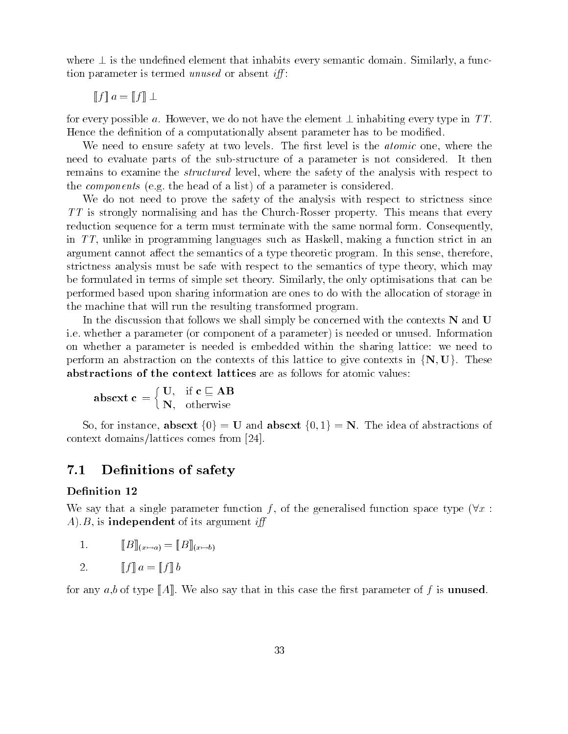where  $\pm$  is the undefined element that inhabits every semantic domain. Similarly, a function promoternative is termed us with the case of a second comet till

$$
\llbracket f \rrbracket \, a = \llbracket f \rrbracket \perp
$$

for every possible  $a$ . However, we do not have the element  $\perp$  inhabiting every type in TT. Hence the de
nition of a computationally absent parameter has to be modi
ed

riv as your your value of two levels to the safety and the atomic who was the safety the atomic the atomic the need to evaluate parts of the substructure of a particle of a part of a part of a part of the substructure is remains to conserve the structure and and the safety of the safety of the safety of the safety of the structure the components is the the model of a parameter is a parameter in the parameter is componented and

We do not need to prove the safety of the analysis with respect to strictness since  $TT$  is strongly normalising and has the Church-Rosser property. This means that every reduction sequence for a term must term must terminate the same normal form consequently-consequentlyin TT-1 was a function in the strict in and the such as the such as the such as the function of the strict in a are a cannot cannot a the sense- the semantics of a type theoretic program In the theoretic program In the sensestricting analysis must be semant of the semant respect of the semantics of the signal method is the type theorybe formulated in the set the only optimize the set of the simple set the similar can be set the similar of the performed based upon sharing information are ones to do with the allocation of storage inthe machine that will run the resulting transformed program

In the discussion that follows we shall simply a concerned with the context of the contexts I and U and U and ie was devel a parameter is in complete a parameter or understanding in a parameter is needed on a parameter o on whether <sup>a</sup> parameter is needed is embedded within the sharing lattice we need to perform an abstraction on the contexts of this lattice to give contexts in  $\{N, U\}$ . These abstractions of the context lattices are as follows for atomic values

$$
\mathbf{absext}\ \mathbf{c}\ =\left\{\begin{matrix}\ \mathbf{U}, & \text{if}\ \mathbf{c}\ \sqsubseteq\ \mathbf{AB}\\ \mathbf{N}, & \text{otherwise}\end{matrix}\right.
$$

So, for instance, absext  $\{0\} = U$  and absext  $\{0,1\} = N$ . The idea of abstractions of context domains/lattices comes from [24].

#### $7.1$ De nitions of safety

We say that a single parameter function  $\bar{I}$ , of the generalised function space type  $\bar{v}x$  : AB- is independent of its argument i

1. 
$$
[[B]]_{(x \mapsto a)} = [[B]]_{(x \mapsto b)}
$$

2.  $\llbracket f \rrbracket a = \llbracket f \rrbracket b$ 

for any a-ratio are also says in the case and are the the three the case of the case of the case of the case of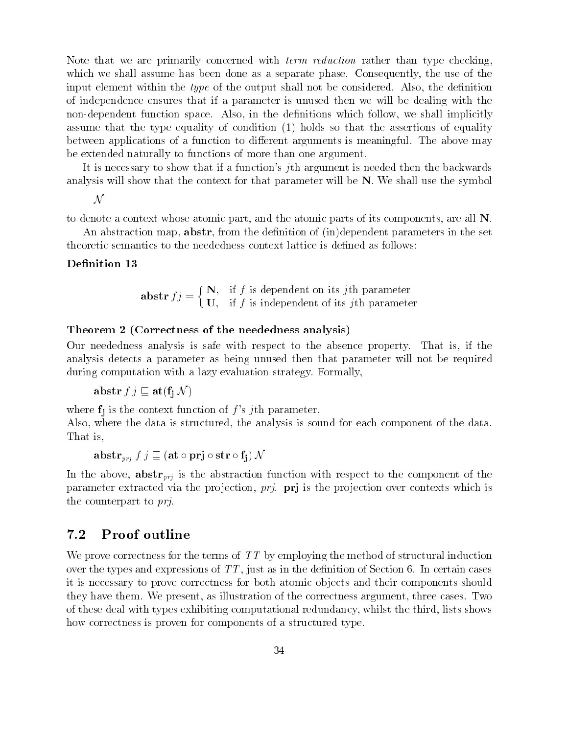Note that we are primarily concerned with *term reduction* rather than type checking. which we shall assume has been done as a separate phase Consequently-the use of the use of the use of the use o input considered with the type of the output shall not be considered also also also also designed also of independence ensures that if a parameter is unused then we will be dealing with the nondependent function space Also-Indian space Also-Indian space Also-Indian space Also-Indian space Also-India assume that the type equality of condition (1) holds so that the assertions of equality between applications of a function to different arguments is meaningful. The above may be extended naturally to functions of more than one argument

It is necessary to show that if a function's jth argument is needed then the backwards analysis will show that the context for that parameter will be  $N$ . We shall use the symbol

 ${\cal N}$ 

to denote a context whose atomic party whose atomic parts of its components, who was a

abstraction the decisity in the declines in the decomposition of independent parameters in the set of the set theoretic semantics to the neededness context lattice is defined as follows:

#### Denition -

**abstr** 
$$
fj = \begin{cases} \mathbf{N}, & \text{if } f \text{ is dependent on its } j\text{th parameter} \\ \mathbf{U}, & \text{if } f \text{ is independent of its } j\text{th parameter} \end{cases}
$$

#### Theorem Correctness of the neededness analysis

Our neededness analysis is safe with respect to the absence property That is- if the analysis detects a parameter as being unused then that parameter will not be required during computation with a lazy evaluation strategy. Formally,

abstract the  $j$  v  $j$  at  $j$  at  $j$  at  $j$ 

where for the context function of  $j$  is  $j$  and  $j$  context function of  $j$ 

also a where the data is structured for the analysis is sound for the data is sound for the data is sound. That is,

abstrate that  $j$  at  $j$  at  $j$  at  $j$  at  $j$  and  $j$  at  $i$  and  $j$  at  $j$  and  $j$  at  $j$  and  $j$  and  $j$  are  $j$  and  $j$  and  $j$  are  $j$  and  $j$  and  $j$  and  $j$  and  $j$  and  $j$  and  $j$  and  $j$  and  $j$  and  $j$  and  $j$  an

in the above-time the above-time above-the abstraction to the component of the component of the component of parameter extracted via the pro jection- prj prj is the pro jection over contexts which is the counterpart to *pri*.

### 7.2 Proof outline

We prove correctness for the terms of  $TT$  by employing the method of structural induction over the types and the depositions of TT - in the decomposition as in the decomposition of the decomposition of it is necessary to prove correctness for both atomic ob jects and their components should they have the three weights are three cases three cases three cases  $\alpha$  and the correct argument  $\alpha$ of these deal with types exhibiting computational redundance  $\mathcal{U}$  is shown that the third-deal  $\mathcal{U}$ how correctness is proven for components of a structured type.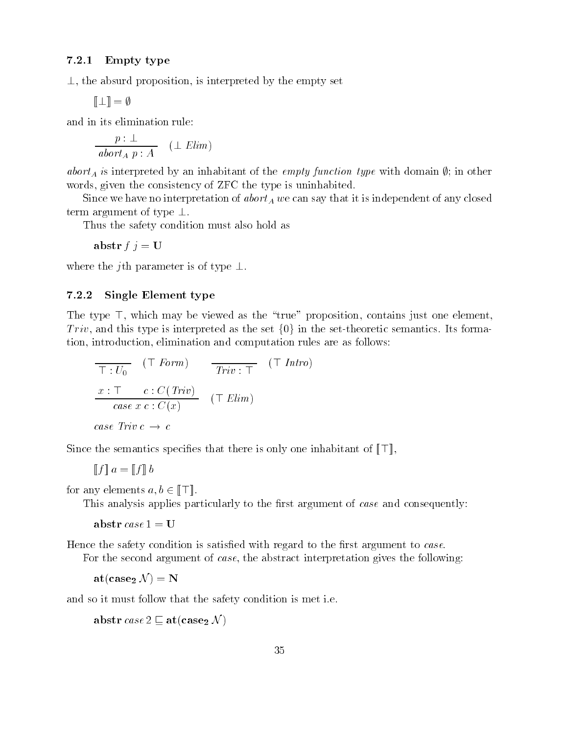#### - - - - - -Empty type

 $\perp$ , the absurd proposition, is interpreted by the empty set

$$
[\![\,\bot\,]\!]=\emptyset
$$

and in the function relation and in the function

$$
\frac{p:\perp}{abort_A p:A} \quad (\perp \text{Elim})
$$

abort<sub>A</sub> is interpreted by an inhabitant of the empty function type with domain  $\emptyset$ ; in other words- and the constant of the two teachers is unit to the constant of the teachers of the teachers of the teachers of the teachers of the teachers of the teachers of the teachers of the teachers of the teachers of the tea

Since we have no interpretation of abort  $A$  we can say that it is inducted on that it is in term argument of type  $\perp.$ 

Thus the safety condition must as a safety condition must also hold as a second condition of the safety as a s

 $\cdots$   $\cdots$ 

where the  $\gamma$ th parameter is of type  $\bot.$ 

#### . . . . . Single Element type

The type  $\pm$ , which may be viewed as the  $\pm$  true  $\pm$  proposition, contains just one element,  $\overline{I}$  rvv, and this type is interpreted as the set {U} in the set-theoretic semantics. Its formation- introduction- elimination and computation rules are as follows

$$
\overline{\top: U_0} \quad (\top \text{ Form}) \qquad \overline{Triv: \top} \quad (\top \text{Intro})
$$
\n
$$
\underline{x: \top \quad c: C(\text{Triv})}{\text{case } x \text{ } c: C(x)} \quad (\top \text{Elim})
$$
\n
$$
\text{case Triv } c \rightarrow c
$$

Since the semantics specifies that there is only one inhabitant of  $\|\cdot\|$ ,

$$
\llbracket f \rrbracket \, a = \llbracket f \rrbracket \, b
$$

for any elements  $a, b \in \mathbb{N} \setminus \mathbb{N}$ .

This argument and consequently to the consequently and consequently to the consequently consequently and consequently

 $\sim$   $\sim$   $\sim$   $\sim$   $\sim$   $\sim$ 

Hence the safety condition is satis
ed with regard to the 
rst argument to case

For the second argument of case- the abstract interpretation gives the following

 $\text{at}(\textbf{case}_2 \text{ }\mathcal{N})=\textbf{N}$ 

and so it must follow that the safety conditions is method in the

abstr  $case \angle \sqsubseteq$  attease  $2 \vee$  )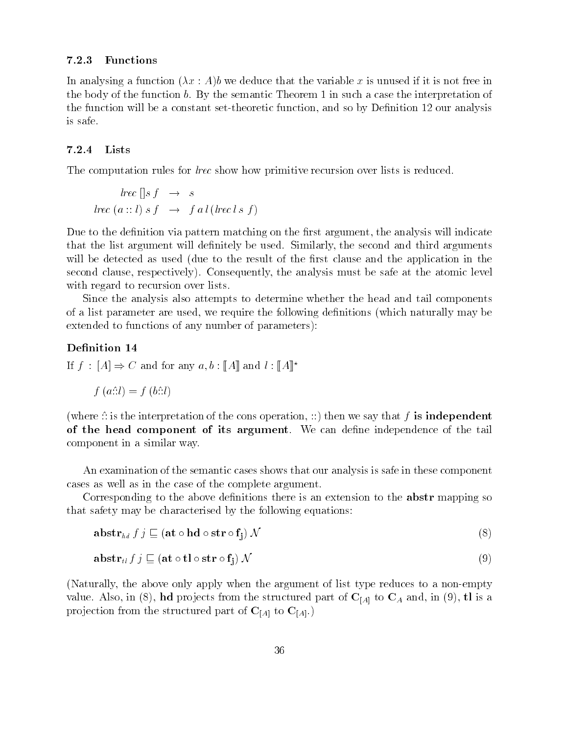#### . . . . . . Functions

In analysing a function  $(\lambda x : A)$  we deduce that the variable x is unused if it is not free in the body of the function b. By the semantic Theorem 1 in such a case the interpretation of the function will be a constant settheoretic function- and so by De
nition our analysis is safe

#### . . . . . . Lists

The computation rules for *lrec* show how primitive recursion over lists is reduced.

$$
lrec[]s f \rightarrow s
$$
  

$$
lrec (a :: l) s f \rightarrow f a l (lrec l s f)
$$

Due to the de
nition via pattern matching on the 
rst argument- the analysis will indicate that the list argument will define  $\mathcal{M}$  arguments will define an operators arguments arguments arguments arguments arguments arguments arguments arguments arguments arguments arguments arguments arguments arguments ar will be detected as used (due to the result of the first clause and the application in the second clause- respectively Consequently- the analysis must be safe at the atomic level with regard to recursion over lists.

Since the analysis also attempts to determine whether the head and tail components of a list parameter are used- we require the following de
nitions which naturally may be extended to functions of any number of parameters):

#### Denition -

If  $f : |A| \Rightarrow \cup$  and for any  $a, b : \|A\|$  and  $t : \|A\|$ 

$$
f(a::l) = f(b::l)
$$

 $\mathcal{L}$  is the interpretation of the constant operations is independent independent  $\mathcal{L}$  is independent of of the head component of its argument we can describe the tails are the term of the tail of the tail the tail component in a similar way

An examination of the semantic cases shows that our analysis is safe in these component cases as well as in the case of the complete argument

Corresponding to the above definitions there is an extension to the **abstr** mapping so that safety may be characterised by the following equations

$$
\mathbf{abstr}_{hd} f j \sqsubseteq (\mathbf{at} \circ \mathbf{hd} \circ \mathbf{str} \circ \mathbf{f}_{\mathbf{i}}) \mathcal{N} \tag{8}
$$

$$
\mathbf{abstr}_{tl} f j \sqsubseteq (\mathbf{at} \circ \mathbf{tl} \circ \mathbf{str} \circ \mathbf{f}_{\mathbf{j}}) \mathcal{N} \tag{9}
$$

Naturally- the above only apply when the argument of list type reduces to a nonempty  $\alpha$  in  $\alpha$  in  $\alpha$  ,  $\alpha$  is a structured part of  $\alpha$  in  $\alpha$  in  $\alpha$  in  $\alpha$  in  $\alpha$  in  $\alpha$ projection from the structured part of  $C_{[A]}$  to  $C_{[A]}$ .)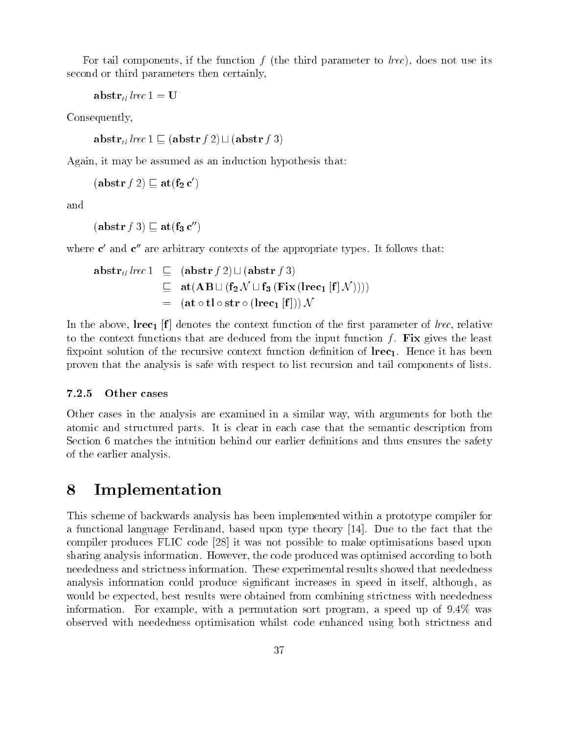re into the function for the third parameter to large the third parameter  $\mu$  are  $\mu$  to large its interest second or third parameters then certainly,

```
abstr<sub>tl</sub> lrec 1 = U
```
Consequently,

abstr<sub>tl</sub> lrec  $1 \sqsubseteq (\text{abstr } f 2) \sqcup (\text{abstr } f 3)$ 

Again- it may be assumed as an induction hypothesis that

 $(\text{a} \text{D} \text{S} \text{U} \text{r} \text{J} \text{Z}) \sqsubseteq \text{a} \text{U} \text{I}_2 \text{C}$ 

 $(\text{a} \text{D} \text{S} \text{U} \text{r} \text{J} \text{J}) \sqsubseteq \text{a} \text{U} \text{I} \text{3} \text{C}$ 

where  $\bm{c}$  and  $\bm{c}$  are arbitrary contexts of the appropriate types. It follows that:

$$
\begin{array}{rcl}\n\text{abstr}_{tl}\, \text{lrec 1} & \sqsubseteq & (\text{abstr } f\, 2) \sqcup (\text{abstr } f\, 3) \\
& \sqsubseteq & \text{at}(\text{AB} \sqcup (\text{f}_2 \mathcal{N} \sqcup \text{f}_3 \, (\text{Fix } (\text{lrec}_1 \, [\text{f}] \, \mathcal{N}))) \\
& = & (\text{at } \circ \text{tl } \circ \text{str } \circ (\text{lrec}_1 \, [\text{f}]))\mathcal{N}\n\end{array}
$$

the above-the context function of the context function of the context function of the context function of the to the context functions that are deduced from the input function f. Fix gives the least xpoint solution of the recursive context function de
nition of lrec- Hence it has been proven that the analysis is safe with respect to list recursion and tail components of lists

#### $7.2.5$  Other cases

Other cases in the analysis are examined in a similar way- with arguments for both the atomic and structured parts It is clear in each case that the semantic description from Section 6 matches the intuition behind our earlier definitions and thus ensures the safety of the earlier analysis

# 8 Implementation

This scheme of backwards analysis has been implemented within a prototype compiler for a functional language Ferdinand- based upon type theory  Due to the fact that the compiler produces FLIC code [28] it was not possible to make optimisations based upon sharing analysis information However- the code produced was optimised according to both neededness and strictness information. These experimental results showed that neededness analysis information could produce significant in specific speed in the interest in itselfwould be expected-with the expected-distribution from compiled the compiled from compiled from compiled to information  $\mathbf{r}$  is a speed up of  $\mathbf{r}$  and  $\mathbf{r}$  is a speed up of  $\mathbf{r}$  and  $\mathbf{r}$  is a speed up of  $\mathbf{r}$ observed with neededness optimisation whilst code enhanced using both strictness and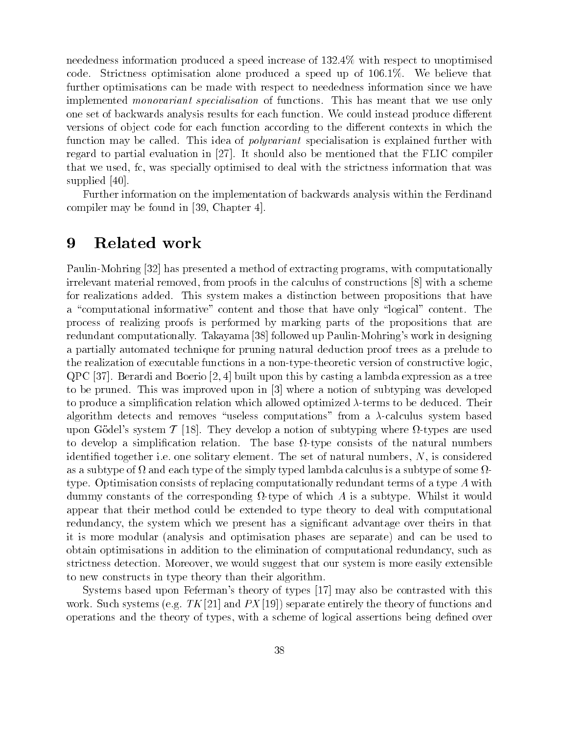needed a speed a speed in the speed in the speed in the speed in the speed in the speed in the speed in the speed in coder Stricting optimisation and medicine produced a speed up of the speed  $\mathcal{W}$ further optimisations can be made with respect to a be made with respect to a service we have well as with the interesting and the specialisation of the monocycle of the meant that the meant that we use only we use that w one set of an analysis wards and backwards for each function we could instead the set of the could be could compute versions of ob ject code for each function according to the dierent contexts in which the function may be called This idea of polyvariant specialisation is explained further with regard to partial evaluation in It should also be mentioned that the mention in It should be mentioned that that we use the control control optimized to deal with the strict the strict optimized the strict the strict o supplied [40].

Further information on the implementation of backwards analysis within the Ferdinand  $\sim$  computer may be found in  $\sim$  chapter in

### Related work

a with a method of the second properties of the computation of the computational programs- computationally pro irrelevant material removed-month proofs in the calculus of computations of the calculus of the construction for realizations added This system makes <sup>a</sup> distinction between propositions that have a computational information in computation and the second and the those three those computations in the content process of realizing proofs is performed by marking parts of the propositions that are redundant computationally. Takayama [38] followed up Paulin-Mohring's work in designing a particular automated technique technique de technique for proving trees and trees as a proof to province to the realization of executable functions in a non-type-theoretic version of constructive logic. we will be versely computed to a lambday which we have a lambday with a tree with the second with the second w to be proved the month improved the subtyping was and in improved to me the subtyping was developed was developed to be a sign a simplification relation a simplification which it all terms to a signal and all sectors which a algorithm detects and removes #useraless computations was algorithm and a calculus system based based on the c upon Godels system T They develop a notion of subtyping where  $\alpha$  is subtyping the subtyping where  $\alpha$ to device a simplification and the simplification of the natural numbers of the simple the simple the the simple  $\alpha$ idential in to give the set of the set of the set of the set of the set of the set of the set of the set of th as a subtype of  $\Omega$  and each type of the simply typed lambda calculus is a subtype of some  $\Omega$ type Optimisation consists of replacing computation consists of replacing computation of redundant terms of a type A with the terms of a type A with the computation of a type A with the computation of a type A with the com dumments of the constants of the corresponding a subtype of the corresponding a interest of which a constant i apply could construct method was the extended to type the extended to the type theory theory to deal with computational with computational with computational with computational with computational with computational with co reduction which is a significant the system over the significant we progressed which we prove the second that t it is more modular and and and and optimisation phases are separate and can be used to phase are used to the u ob thank optimisations in addition to the electromery of computation of computation of computations of computation striction activities that of it was also and the suggest of a suggest that our strict of the suggest of the st to algorithment in the state than the theory than the theory than the theory than the theory than the theory t

Systems based upon Fefermans theory of types may also be contrasted with this work Such systems in the text was equal that the the system control into the theory of the theory of the theory op vervations was the the types- of the theory of the theory of a scheme over the scheme of versions of the th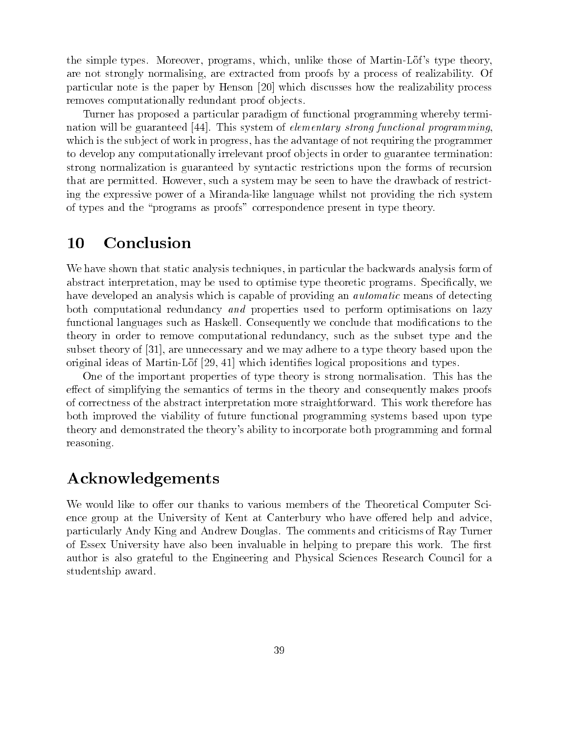the simple types more contact the programs through more than the more contact the strategy of  $\alpha$ are not strongly normalising- are extracted from proofs by a process of realizability Of particular note is the paper by Henson  $\left[20\right]$  which discusses how the realizability process removes computationally redundant proof ob jects

Turner has proposed a particular paradigm of functional programming whereby termi nation will be guaranteed  $[44]$ . This system of *elementary strong functional programming*. which is the subset of work in progress-dimensional the advantage of noting the progression  $\mathbb{R}^n$ to develop any computationally irrelevant proof ob jects in order to guarantee termination strong normalization is guaranteed by syntactic restrictions upon the forms of recursion that are permitted However-Communication and personal may be seen to have the drawback of restrict ing the expressive power of a Miranda-like language whilst not providing the rich system of types and the "programs as proofs" correspondence present in type theory.

#### Conclusion 10

We have shown that static analysis techniques- in particular the backwards analysis form of abstract interpretation- may be used to optimize type theoretic programs Specification of the specification of have developed an analysis which is capable of providing an *automatic* means of detecting both computational redundancy and properties used to perform optimisations on lazy functional languages such as Haskell. Consequently we conclude that modifications to the theory in order to remove computational redundancy- such as the subset type and the subset theory of - are unnecessary and we may adhere to a type theory based upon the original identity is discussed and the proposition is a continuous dependence of the contract of the contract of

One of the important properties of type theory is strong normalisation This has the effect of simplifying the semantics of terms in the theory and consequently makes proofs of correctness of the abstract interpretation more straightforward This work therefore has both improved the viability of future functional programming systems based upon type theory and demonstrated the theorys ability to incorporate both programming and formal reasoning

# Acknowledgements

We would like to offer our thanks to various members of the Theoretical Computer Science group at the University of Kent at Canterbury who have offered help and advice, particularly Andy King and Andrew Douglas The comments and criticisms of Ray Turner of Essex University have also been invaluable in helping to prepare this work. The first author is also grateful to the Engineering and Physical Sciences Research Council for a studentship award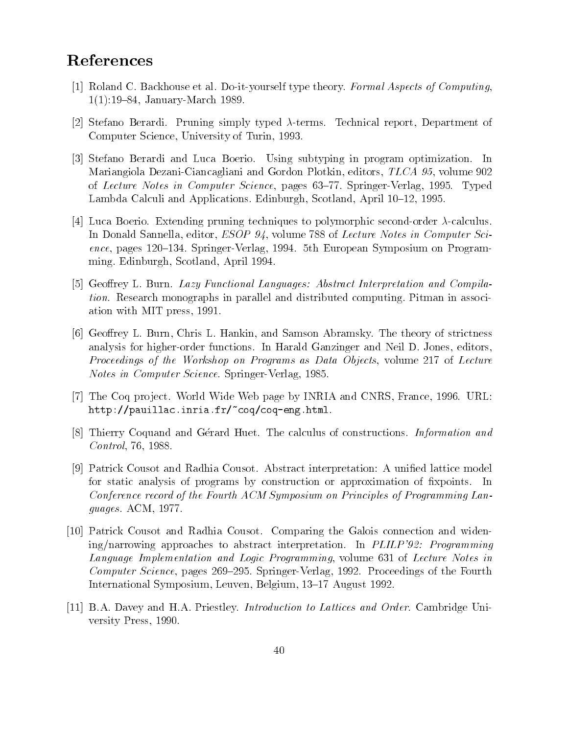# References

- [1] Roland C. Backhouse et al. Do-it-yourself type theory. Formal Aspects of Computing. - JanuaryMarch
- Stefano Berardi Pruning simply typed terms Technical report- Department of Computer Science- University of Turin-
- [3] Stefano Berardi and Luca Boerio. Using subtyping in program optimization. In Mariangiola DezaniCiancagliani and Gordon Plotkin- editors- TLCA - volume of Lecture Science- in Computer Science- pages vv in Springer (Science- In Science Lambda Calculi and Applications Edinburgh- Scotland- April -
- [4] Luca Boerio. Extending pruning techniques to polymorphic second-order  $\lambda$ -calculus. . en donald Sannella-Sci-Computer Sci-Computer Sci-Computer Sci-Computer Sci-Computer Sci-Computer Sci-Computer ence- pages  SpringerVerlag-  th European Symposium on Program ming Edinburgh-American control and the control of the second second second and second second second second second second second second second second second second second second second second second second second second se
- [5] Geoffrey L. Burn. Lazy Functional Languages: Abstract Interpretation and Compilation. Research monographs in parallel and distributed computing. Pitman in association with MIT press-to-second control and mit press-to-second control and mit press-to-second control and mit
- Georey L Burn- Chris L Hankin- and Samson Abramsky The theory of strictness analysis for higher formed and in Harald Ganzinger Ganzinger and Neil D Jones, Jones, Andre Proceedings of the Workshop on Programs as Data Objects- volume of Lecture Notes in Computer Science SpringerVerlag-
- The Coq pro ject World Wide Web page by INRIA and CNRS- France- URL http://pauillac.inria.fr/~coq/coq-eng.html.
- [8] Thierry Coquand and Gerard Huet. The calculus of constructions. Information and Control- -
- Patrick Cousot and Radhia Cousot Abstract interpretation A uni
ed lattice model for static analysis of programs by construction or approximation of fixpoints. - In Conference record of the Fourth ACM Symposium on Principles of Programming Languages Académic Service de la construction de la construction de la construction de la construction de la cons
- [10] Patrick Cousot and Radhia Cousot. Comparing the Galois connection and widening/narrowing approaches to abstract interpretation. In *PLILP*'92: Programming and programming and Logic Progressive Communication of Logic Progressive Communication of Logic Communication compare service-pages are also repairing to the Fourth-Indian and an interest international Symposium-Augustte and August 2012 and August 2013 and August 2013 and August 2013 and August 20
- [11] B.A. Davey and H.A. Priestley. *Introduction to Lattices and Order*. Cambridge University Press-Press-Press-Press-Press-Press-Press-Press-Press-Press-Press-Press-Press-Press-Press-Press-Press-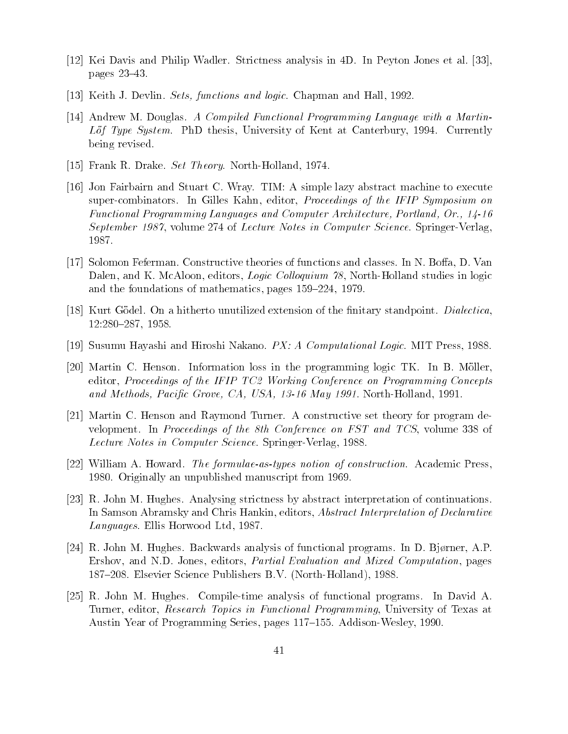- [12] Kei Davis and Philip Wadler. Strictness analysis in 4D. In Peyton Jones et al.  $[33]$ , pages 23–43.
- Keith Jacques Sets functions and logical chapman and the Hall-Chapman and Hall-Chapman and Hall-Chapman and Ha
- [14] Andrew M. Douglas. A Compiled Functional Programming Language with a Martin-Lof Type System PhD thesis- University of Kent at Canterbury-  Currently being revised
- Frank R Drake Set Theory North Holland-Holland-Holland-Holland-Holland-Holland-Holland-Holland-Holland-Holland-
- [16] Jon Fairbairn and Stuart C. Wray. TIM: A simple lazy abstract machine to execute supercombinators In Gilles Kahn- editor- Proceedings of the IFIP Symposium on Functional Programming Languages and Computer Architecture Portland Or
 september - September - Lecture Science Science Science Springer SpringerVerlage
- Solomon Feferman Constructive theories of functions and classes In N Boa- D Van dalen-kol loquium - Logic Col loquium - Logic Col loquium - Logic Col loquium - Loquium - Loquium - Loquium - Lo and the foundations of mathematics- pages -
- [18] Kurt Gödel. On a hitherto unutilized extension of the finitary standpoint. Dialectica, the contract of the contract of the contract of the contract of the contract of the contract of the contract o
- susumu Hayashi and Hiroshi nakano Panaha Logic Mithieus Mithieus Mithieus Mithieus Mithieus Mithieus Mithieus
- [20] Martin C. Henson. Information loss in the programming logic TK. In B. Möller, editor- Proceedings of the IFIP TC Working Conference on Programming Concepts and Methods Pacific Grove Care, Care, Pacific Meny at the Methods Property 2002.
- [21] Martin C. Henson and Raymond Turner. A constructive set theory for program development in Proceedings of the third conference on FST and TCS-1999 and TCS-1999 and Lecture Notes in Computer Science SpringerVerlag-
- William A Howard The formulae-as-types notion of construction Academic Press-Originally an unpublished manuscript from
- $[23]$  R. John M. Hughes. Analysing strictness by abstract interpretation of continuations. In Samson Abramsky and Chris Hankin- editors- Abstract Interpretation of Declarative Languages Ellis Horwood Ltd-
- R John M Hughes Backwards analysis of functional programs In D Bj,rner- AP Ershov- and ND Jones- editors- Partial Evaluation and Mixed Computation- pages Elsevier Science Publishers BV NorthHolland-
- [25] R. John M. Hughes. Compile-time analysis of functional programs. In David A. Turner-Turner- and the search Turner-Turner- and the search Turner-Turner- and the search of Texas at the Search Turner-Austin Year of Programming Series- pages AddisonWesley-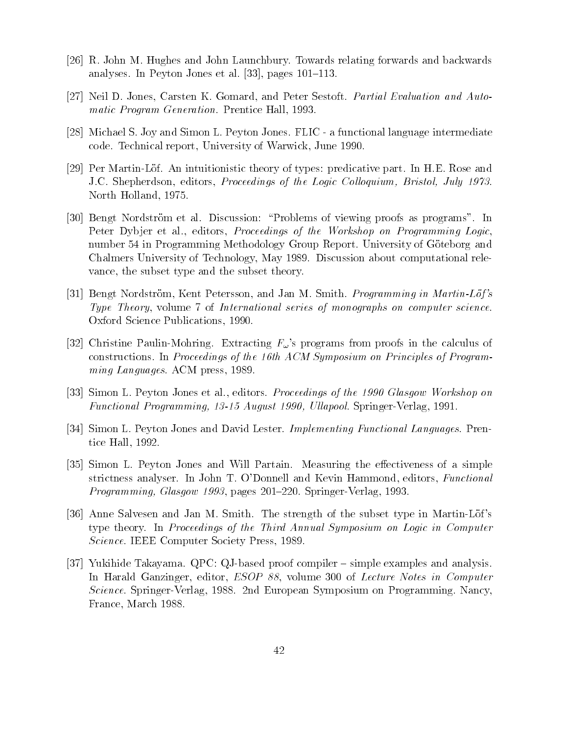- [26] R. John M. Hughes and John Launchbury. Towards relating forwards and backwards analyses In Peyton Jones et al. (2001) and the pages In Peyton Jones et al. (2001) and the pages of the pages I
- Neil D Jones- Carsten K Gomard- and Peter Sestoft Partial Evaluation and Automatic Program Prentice Hall-Companies Prentice Press
- [28] Michael S. Joy and Simon L. Peyton Jones. FLIC a functional language intermediate code Technical report- University of Warwick- June
- Per MartinLof An intuitionistic theory of types predicative part In HE Rose and JC Shepherdson- editors- Proceedings of the Logic Col loquium Bristol July north Holland, Holland
- [30] Bengt Nordström et al. Discussion: "Problems of viewing proofs as programs". In Peter Dyb jer et al- editors- Proceedings of the Workshop on Programming Logicnumber 54 in Programming Methodology Group Report. University of Göteborg and Chalmers University of Technology- May Discussion about computational rele vance-type and the subset type and the subset type and the subset type and the subset type and the subset theory
- , we are going to the strong extension of the strong in Martin-Strong in Martin-Strong in Martin-Strong in Type Theory- volume of International series of monographs on computer science Oxford Science Publications-
- [32] Christine Paulin-Mohring. Extracting  $F_{\omega}$ 's programs from proofs in the calculus of constructions. In Proceedings of the 16th ACM Symposium on Principles of Programming Languages ACM press-
- is al-American proceeding of the contractions of the contractions of the contractions of the contractions of th Functional Programming - August Ul lapool SpringerVerlag-
- [34] Simon L. Peyton Jones and David Lester. Implementing Functional Languages. Prentice Hall-
- [35] Simon L. Peyton Jones and Will Partain. Measuring the effectiveness of a simple striction in John T O OD OD OD OD ANAlysis In The Management And Kevin Hammond-Hammond-Hammond-Hammond-Hammond-Programming Glasgow - pages SpringerVerlag-
- [36] Anne Salvesen and Jan M. Smith. The strength of the subset type in Martin-Löf's type theory In Proceedings of the Third Annual Symposium on Logic in Computer Science IEEE Computer Society Press-
- [37] Yukihide Takayama. QPC: QJ-based proof compiler  $-$  simple examples and analysis. In Harald Ganzinger- editor- ESOP - volume of Lecture Notes in Computer s additional symposium on Programming Nancy-Symposium on Programming Nancy-Symposium on Programming Nancy-Symposium France- March